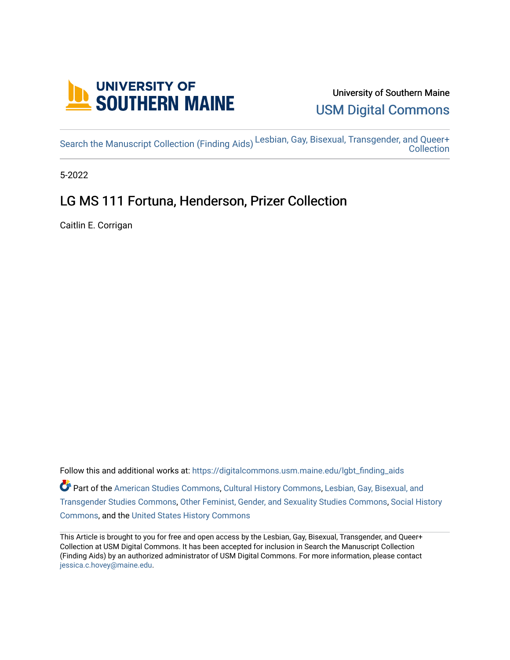

# University of Southern Maine [USM Digital Commons](https://digitalcommons.usm.maine.edu/)

[Search the Manuscript Collection \(Finding Aids\)](https://digitalcommons.usm.maine.edu/lgbt_finding_aids) [Lesbian, Gay, Bisexual, Transgender, and Queer+](https://digitalcommons.usm.maine.edu/lgbt)  [Collection](https://digitalcommons.usm.maine.edu/lgbt) 

5-2022

# LG MS 111 Fortuna, Henderson, Prizer Collection

Caitlin E. Corrigan

Follow this and additional works at: [https://digitalcommons.usm.maine.edu/lgbt\\_finding\\_aids](https://digitalcommons.usm.maine.edu/lgbt_finding_aids?utm_source=digitalcommons.usm.maine.edu%2Flgbt_finding_aids%2F46&utm_medium=PDF&utm_campaign=PDFCoverPages)  Part of the [American Studies Commons](http://network.bepress.com/hgg/discipline/439?utm_source=digitalcommons.usm.maine.edu%2Flgbt_finding_aids%2F46&utm_medium=PDF&utm_campaign=PDFCoverPages), [Cultural History Commons,](http://network.bepress.com/hgg/discipline/496?utm_source=digitalcommons.usm.maine.edu%2Flgbt_finding_aids%2F46&utm_medium=PDF&utm_campaign=PDFCoverPages) [Lesbian, Gay, Bisexual, and](http://network.bepress.com/hgg/discipline/560?utm_source=digitalcommons.usm.maine.edu%2Flgbt_finding_aids%2F46&utm_medium=PDF&utm_campaign=PDFCoverPages)  [Transgender Studies Commons,](http://network.bepress.com/hgg/discipline/560?utm_source=digitalcommons.usm.maine.edu%2Flgbt_finding_aids%2F46&utm_medium=PDF&utm_campaign=PDFCoverPages) [Other Feminist, Gender, and Sexuality Studies Commons](http://network.bepress.com/hgg/discipline/562?utm_source=digitalcommons.usm.maine.edu%2Flgbt_finding_aids%2F46&utm_medium=PDF&utm_campaign=PDFCoverPages), [Social History](http://network.bepress.com/hgg/discipline/506?utm_source=digitalcommons.usm.maine.edu%2Flgbt_finding_aids%2F46&utm_medium=PDF&utm_campaign=PDFCoverPages)  [Commons](http://network.bepress.com/hgg/discipline/506?utm_source=digitalcommons.usm.maine.edu%2Flgbt_finding_aids%2F46&utm_medium=PDF&utm_campaign=PDFCoverPages), and the [United States History Commons](http://network.bepress.com/hgg/discipline/495?utm_source=digitalcommons.usm.maine.edu%2Flgbt_finding_aids%2F46&utm_medium=PDF&utm_campaign=PDFCoverPages) 

This Article is brought to you for free and open access by the Lesbian, Gay, Bisexual, Transgender, and Queer+ Collection at USM Digital Commons. It has been accepted for inclusion in Search the Manuscript Collection (Finding Aids) by an authorized administrator of USM Digital Commons. For more information, please contact [jessica.c.hovey@maine.edu.](mailto:ian.fowler@maine.edu)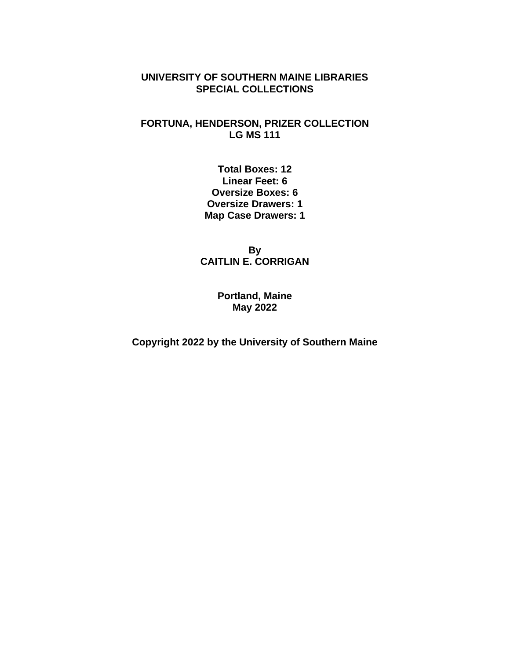#### **UNIVERSITY OF SOUTHERN MAINE LIBRARIES SPECIAL COLLECTIONS**

#### **FORTUNA, HENDERSON, PRIZER COLLECTION LG MS 111**

**Total Boxes: 12 Linear Feet: 6 Oversize Boxes: 6 Oversize Drawers: 1 Map Case Drawers: 1**

**By CAITLIN E. CORRIGAN**

> **Portland, Maine May 2022**

**Copyright 2022 by the University of Southern Maine**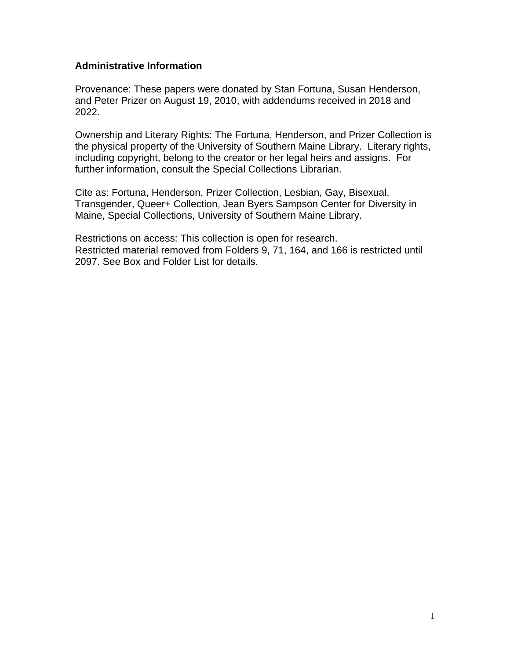#### **Administrative Information**

Provenance: These papers were donated by Stan Fortuna, Susan Henderson, and Peter Prizer on August 19, 2010, with addendums received in 2018 and 2022.

Ownership and Literary Rights: The Fortuna, Henderson, and Prizer Collection is the physical property of the University of Southern Maine Library. Literary rights, including copyright, belong to the creator or her legal heirs and assigns. For further information, consult the Special Collections Librarian.

Cite as: Fortuna, Henderson, Prizer Collection, Lesbian, Gay, Bisexual, Transgender, Queer+ Collection, Jean Byers Sampson Center for Diversity in Maine, Special Collections, University of Southern Maine Library.

Restrictions on access: This collection is open for research. Restricted material removed from Folders 9, 71, 164, and 166 is restricted until 2097. See Box and Folder List for details.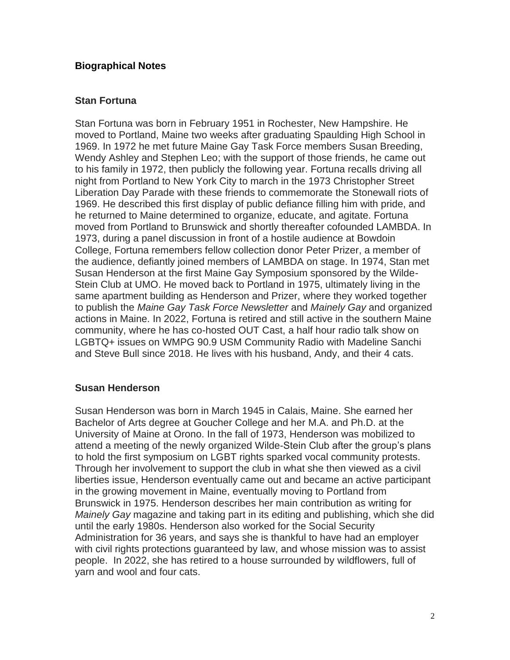#### **Biographical Notes**

#### **Stan Fortuna**

Stan Fortuna was born in February 1951 in Rochester, New Hampshire. He moved to Portland, Maine two weeks after graduating Spaulding High School in 1969. In 1972 he met future Maine Gay Task Force members Susan Breeding, Wendy Ashley and Stephen Leo; with the support of those friends, he came out to his family in 1972, then publicly the following year. Fortuna recalls driving all night from Portland to New York City to march in the 1973 Christopher Street Liberation Day Parade with these friends to commemorate the Stonewall riots of 1969. He described this first display of public defiance filling him with pride, and he returned to Maine determined to organize, educate, and agitate. Fortuna moved from Portland to Brunswick and shortly thereafter cofounded LAMBDA. In 1973, during a panel discussion in front of a hostile audience at Bowdoin College, Fortuna remembers fellow collection donor Peter Prizer, a member of the audience, defiantly joined members of LAMBDA on stage. In 1974, Stan met Susan Henderson at the first Maine Gay Symposium sponsored by the Wilde-Stein Club at UMO. He moved back to Portland in 1975, ultimately living in the same apartment building as Henderson and Prizer, where they worked together to publish the *Maine Gay Task Force Newsletter* and *Mainely Gay* and organized actions in Maine. In 2022, Fortuna is retired and still active in the southern Maine community, where he has co-hosted OUT Cast, a half hour radio talk show on LGBTQ+ issues on WMPG 90.9 USM Community Radio with Madeline Sanchi and Steve Bull since 2018. He lives with his husband, Andy, and their 4 cats.

#### **Susan Henderson**

Susan Henderson was born in March 1945 in Calais, Maine. She earned her Bachelor of Arts degree at Goucher College and her M.A. and Ph.D. at the University of Maine at Orono. In the fall of 1973, Henderson was mobilized to attend a meeting of the newly organized Wilde-Stein Club after the group's plans to hold the first symposium on LGBT rights sparked vocal community protests. Through her involvement to support the club in what she then viewed as a civil liberties issue, Henderson eventually came out and became an active participant in the growing movement in Maine, eventually moving to Portland from Brunswick in 1975. Henderson describes her main contribution as writing for *Mainely Gay* magazine and taking part in its editing and publishing, which she did until the early 1980s. Henderson also worked for the Social Security Administration for 36 years, and says she is thankful to have had an employer with civil rights protections guaranteed by law, and whose mission was to assist people. In 2022, she has retired to a house surrounded by wildflowers, full of yarn and wool and four cats.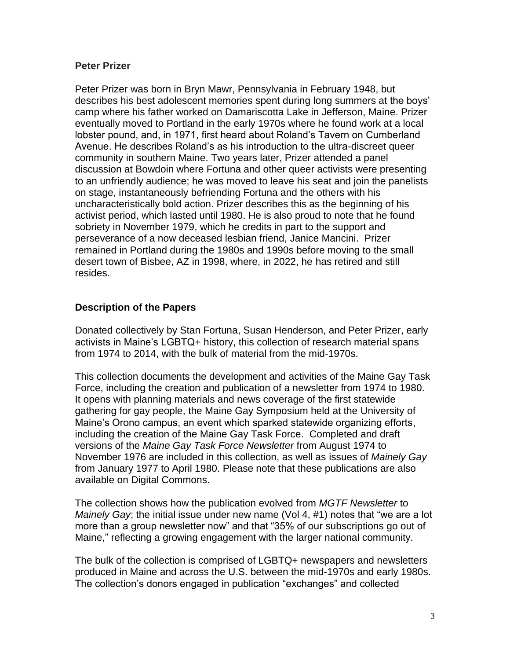#### **Peter Prizer**

Peter Prizer was born in Bryn Mawr, Pennsylvania in February 1948, but describes his best adolescent memories spent during long summers at the boys' camp where his father worked on Damariscotta Lake in Jefferson, Maine. Prizer eventually moved to Portland in the early 1970s where he found work at a local lobster pound, and, in 1971, first heard about Roland's Tavern on Cumberland Avenue. He describes Roland's as his introduction to the ultra-discreet queer community in southern Maine. Two years later, Prizer attended a panel discussion at Bowdoin where Fortuna and other queer activists were presenting to an unfriendly audience; he was moved to leave his seat and join the panelists on stage, instantaneously befriending Fortuna and the others with his uncharacteristically bold action. Prizer describes this as the beginning of his activist period, which lasted until 1980. He is also proud to note that he found sobriety in November 1979, which he credits in part to the support and perseverance of a now deceased lesbian friend, Janice Mancini. Prizer remained in Portland during the 1980s and 1990s before moving to the small desert town of Bisbee, AZ in 1998, where, in 2022, he has retired and still resides.

#### **Description of the Papers**

Donated collectively by Stan Fortuna, Susan Henderson, and Peter Prizer, early activists in Maine's LGBTQ+ history, this collection of research material spans from 1974 to 2014, with the bulk of material from the mid-1970s.

This collection documents the development and activities of the Maine Gay Task Force, including the creation and publication of a newsletter from 1974 to 1980. It opens with planning materials and news coverage of the first statewide gathering for gay people, the Maine Gay Symposium held at the University of Maine's Orono campus, an event which sparked statewide organizing efforts, including the creation of the Maine Gay Task Force. Completed and draft versions of the *Maine Gay Task Force Newsletter* from August 1974 to November 1976 are included in this collection, as well as issues of *Mainely Gay* from January 1977 to April 1980. Please note that these publications are also available on Digital Commons.

The collection shows how the publication evolved from *MGTF Newsletter* to *Mainely Gay*; the initial issue under new name (Vol 4, #1) notes that "we are a lot more than a group newsletter now" and that "35% of our subscriptions go out of Maine," reflecting a growing engagement with the larger national community.

The bulk of the collection is comprised of LGBTQ+ newspapers and newsletters produced in Maine and across the U.S. between the mid-1970s and early 1980s. The collection's donors engaged in publication "exchanges" and collected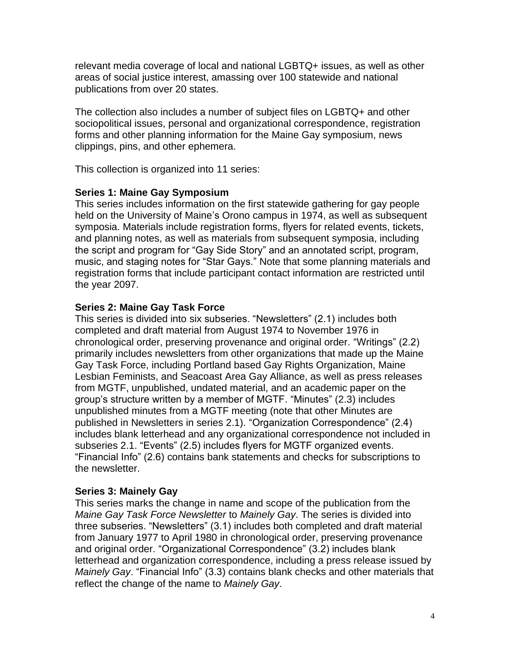relevant media coverage of local and national LGBTQ+ issues, as well as other areas of social justice interest, amassing over 100 statewide and national publications from over 20 states.

The collection also includes a number of subject files on LGBTQ+ and other sociopolitical issues, personal and organizational correspondence, registration forms and other planning information for the Maine Gay symposium, news clippings, pins, and other ephemera.

This collection is organized into 11 series:

#### **Series 1: Maine Gay Symposium**

This series includes information on the first statewide gathering for gay people held on the University of Maine's Orono campus in 1974, as well as subsequent symposia. Materials include registration forms, flyers for related events, tickets, and planning notes, as well as materials from subsequent symposia, including the script and program for "Gay Side Story" and an annotated script, program, music, and staging notes for "Star Gays." Note that some planning materials and registration forms that include participant contact information are restricted until the year 2097.

#### **Series 2: Maine Gay Task Force**

This series is divided into six subseries. "Newsletters" (2.1) includes both completed and draft material from August 1974 to November 1976 in chronological order, preserving provenance and original order. "Writings" (2.2) primarily includes newsletters from other organizations that made up the Maine Gay Task Force, including Portland based Gay Rights Organization, Maine Lesbian Feminists, and Seacoast Area Gay Alliance, as well as press releases from MGTF, unpublished, undated material, and an academic paper on the group's structure written by a member of MGTF. "Minutes" (2.3) includes unpublished minutes from a MGTF meeting (note that other Minutes are published in Newsletters in series 2.1). "Organization Correspondence" (2.4) includes blank letterhead and any organizational correspondence not included in subseries 2.1. "Events" (2.5) includes flyers for MGTF organized events. "Financial Info" (2.6) contains bank statements and checks for subscriptions to the newsletter.

#### **Series 3: Mainely Gay**

This series marks the change in name and scope of the publication from the *Maine Gay Task Force Newsletter* to *Mainely Gay*. The series is divided into three subseries. "Newsletters" (3.1) includes both completed and draft material from January 1977 to April 1980 in chronological order, preserving provenance and original order. "Organizational Correspondence" (3.2) includes blank letterhead and organization correspondence, including a press release issued by *Mainely Gay*. "Financial Info" (3.3) contains blank checks and other materials that reflect the change of the name to *Mainely Gay*.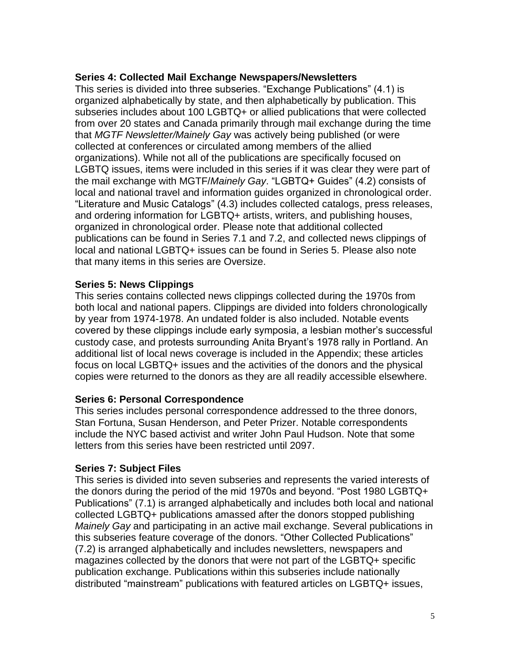#### **Series 4: Collected Mail Exchange Newspapers/Newsletters**

This series is divided into three subseries. "Exchange Publications" (4.1) is organized alphabetically by state, and then alphabetically by publication. This subseries includes about 100 LGBTQ+ or allied publications that were collected from over 20 states and Canada primarily through mail exchange during the time that *MGTF Newsletter/Mainely Gay* was actively being published (or were collected at conferences or circulated among members of the allied organizations). While not all of the publications are specifically focused on LGBTQ issues, items were included in this series if it was clear they were part of the mail exchange with MGTF/*Mainely Gay*. "LGBTQ+ Guides" (4.2) consists of local and national travel and information guides organized in chronological order. "Literature and Music Catalogs" (4.3) includes collected catalogs, press releases, and ordering information for LGBTQ+ artists, writers, and publishing houses, organized in chronological order. Please note that additional collected publications can be found in Series 7.1 and 7.2, and collected news clippings of local and national LGBTQ+ issues can be found in Series 5. Please also note that many items in this series are Oversize.

#### **Series 5: News Clippings**

This series contains collected news clippings collected during the 1970s from both local and national papers. Clippings are divided into folders chronologically by year from 1974-1978. An undated folder is also included. Notable events covered by these clippings include early symposia, a lesbian mother's successful custody case, and protests surrounding Anita Bryant's 1978 rally in Portland. An additional list of local news coverage is included in the Appendix; these articles focus on local LGBTQ+ issues and the activities of the donors and the physical copies were returned to the donors as they are all readily accessible elsewhere.

#### **Series 6: Personal Correspondence**

This series includes personal correspondence addressed to the three donors, Stan Fortuna, Susan Henderson, and Peter Prizer. Notable correspondents include the NYC based activist and writer John Paul Hudson. Note that some letters from this series have been restricted until 2097.

#### **Series 7: Subject Files**

This series is divided into seven subseries and represents the varied interests of the donors during the period of the mid 1970s and beyond. "Post 1980 LGBTQ+ Publications" (7.1) is arranged alphabetically and includes both local and national collected LGBTQ+ publications amassed after the donors stopped publishing *Mainely Gay* and participating in an active mail exchange. Several publications in this subseries feature coverage of the donors. "Other Collected Publications" (7.2) is arranged alphabetically and includes newsletters, newspapers and magazines collected by the donors that were not part of the LGBTQ+ specific publication exchange. Publications within this subseries include nationally distributed "mainstream" publications with featured articles on LGBTQ+ issues,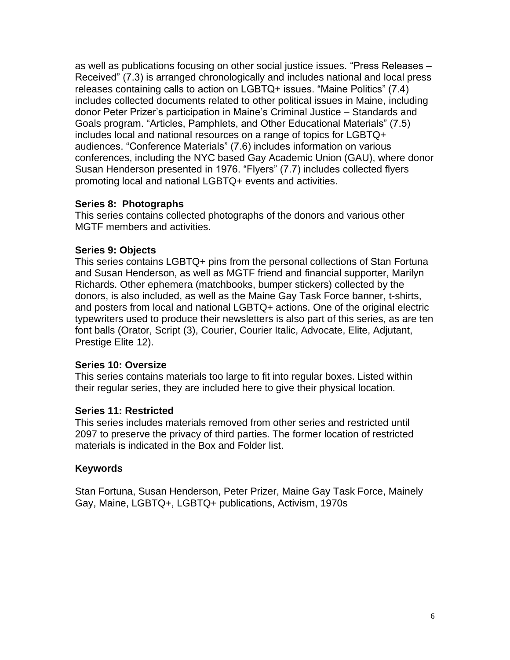as well as publications focusing on other social justice issues. "Press Releases – Received" (7.3) is arranged chronologically and includes national and local press releases containing calls to action on LGBTQ+ issues. "Maine Politics" (7.4) includes collected documents related to other political issues in Maine, including donor Peter Prizer's participation in Maine's Criminal Justice – Standards and Goals program. "Articles, Pamphlets, and Other Educational Materials" (7.5) includes local and national resources on a range of topics for LGBTQ+ audiences. "Conference Materials" (7.6) includes information on various conferences, including the NYC based Gay Academic Union (GAU), where donor Susan Henderson presented in 1976. "Flyers" (7.7) includes collected flyers promoting local and national LGBTQ+ events and activities.

#### **Series 8: Photographs**

This series contains collected photographs of the donors and various other MGTF members and activities.

#### **Series 9: Objects**

This series contains LGBTQ+ pins from the personal collections of Stan Fortuna and Susan Henderson, as well as MGTF friend and financial supporter, Marilyn Richards. Other ephemera (matchbooks, bumper stickers) collected by the donors, is also included, as well as the Maine Gay Task Force banner, t-shirts, and posters from local and national LGBTQ+ actions. One of the original electric typewriters used to produce their newsletters is also part of this series, as are ten font balls (Orator, Script (3), Courier, Courier Italic, Advocate, Elite, Adjutant, Prestige Elite 12).

#### **Series 10: Oversize**

This series contains materials too large to fit into regular boxes. Listed within their regular series, they are included here to give their physical location.

#### **Series 11: Restricted**

This series includes materials removed from other series and restricted until 2097 to preserve the privacy of third parties. The former location of restricted materials is indicated in the Box and Folder list.

#### **Keywords**

Stan Fortuna, Susan Henderson, Peter Prizer, Maine Gay Task Force, Mainely Gay, Maine, LGBTQ+, LGBTQ+ publications, Activism, 1970s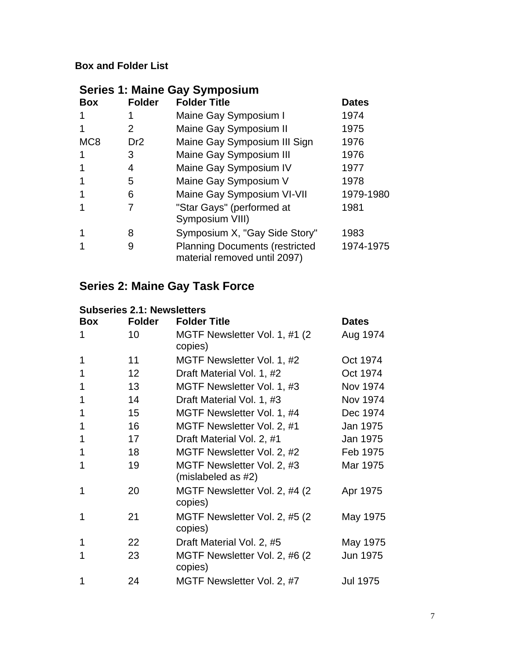## **Box and Folder List**

| <b>Series 1: Maine Gay Symposium</b> |                 |                                                                       |              |  |
|--------------------------------------|-----------------|-----------------------------------------------------------------------|--------------|--|
| <b>Box</b>                           | <b>Folder</b>   | <b>Folder Title</b>                                                   | <b>Dates</b> |  |
|                                      |                 | Maine Gay Symposium I                                                 | 1974         |  |
|                                      | 2               | Maine Gay Symposium II                                                | 1975         |  |
| MC <sub>8</sub>                      | Dr <sub>2</sub> | Maine Gay Symposium III Sign                                          | 1976         |  |
|                                      | 3               | Maine Gay Symposium III                                               | 1976         |  |
|                                      | 4               | Maine Gay Symposium IV                                                | 1977         |  |
|                                      | 5               | Maine Gay Symposium V                                                 | 1978         |  |
|                                      | 6               | Maine Gay Symposium VI-VII                                            | 1979-1980    |  |
|                                      |                 | "Star Gays" (performed at<br>Symposium VIII)                          | 1981         |  |
|                                      | 8               | Symposium X, "Gay Side Story"                                         | 1983         |  |
|                                      | 9               | <b>Planning Documents (restricted</b><br>material removed until 2097) | 1974-1975    |  |

# **Series 2: Maine Gay Task Force**

# **Subseries 2.1: Newsletters**

| <b>Box</b> | <b>Folder</b> | <b>Folder Title</b>                              | <b>Dates</b>    |
|------------|---------------|--------------------------------------------------|-----------------|
| 1          | 10            | MGTF Newsletter Vol. 1, #1 (2)<br>copies)        | Aug 1974        |
| 1          | 11            | MGTF Newsletter Vol. 1, #2                       | Oct 1974        |
| 1          | 12            | Draft Material Vol. 1, #2                        | Oct 1974        |
| 1          | 13            | MGTF Newsletter Vol. 1, #3                       | Nov 1974        |
| 1          | 14            | Draft Material Vol. 1, #3                        | Nov 1974        |
| 1          | 15            | MGTF Newsletter Vol. 1, #4                       | Dec 1974        |
| 1          | 16            | MGTF Newsletter Vol. 2, #1                       | Jan 1975        |
| 1          | 17            | Draft Material Vol. 2, #1                        | Jan 1975        |
| 1          | 18            | MGTF Newsletter Vol. 2, #2                       | Feb 1975        |
| 1          | 19            | MGTF Newsletter Vol. 2, #3<br>(mislabeled as #2) | Mar 1975        |
| 1          | 20            | MGTF Newsletter Vol. 2, #4 (2)<br>copies)        | Apr 1975        |
| 1          | 21            | MGTF Newsletter Vol. 2, #5 (2)<br>copies)        | May 1975        |
| 1          | 22            | Draft Material Vol. 2, #5                        | May 1975        |
| 1          | 23            | MGTF Newsletter Vol. 2, #6 (2)<br>copies)        | Jun 1975        |
| 1          | 24            | MGTF Newsletter Vol. 2, #7                       | <b>Jul 1975</b> |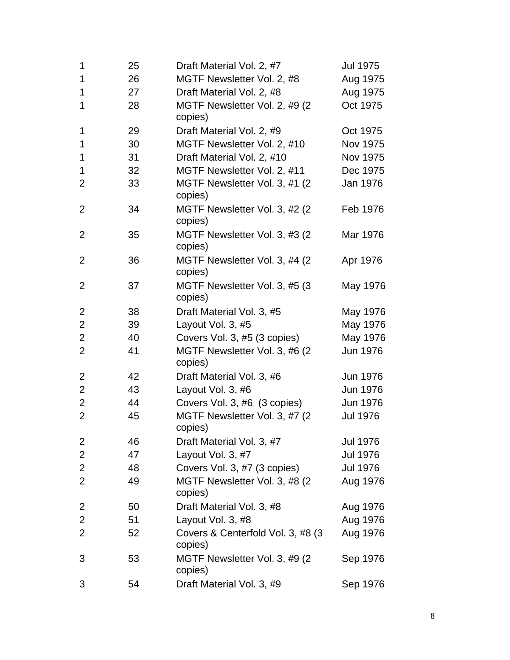| 1              | 25 | Draft Material Vol. 2, #7                     | Jul 1975        |
|----------------|----|-----------------------------------------------|-----------------|
| 1              | 26 | MGTF Newsletter Vol. 2, #8                    | Aug 1975        |
| 1              | 27 | Draft Material Vol. 2, #8                     | Aug 1975        |
| 1              | 28 | MGTF Newsletter Vol. 2, #9 (2)<br>copies)     | Oct 1975        |
| 1              | 29 | Draft Material Vol. 2, #9                     | Oct 1975        |
| 1              | 30 | MGTF Newsletter Vol. 2, #10                   | Nov 1975        |
| 1              | 31 | Draft Material Vol. 2, #10                    | Nov 1975        |
| 1              | 32 | MGTF Newsletter Vol. 2, #11                   | Dec 1975        |
| $\overline{2}$ | 33 | MGTF Newsletter Vol. 3, #1 (2)<br>copies)     | Jan 1976        |
| $\overline{2}$ | 34 | MGTF Newsletter Vol. 3, #2 (2)<br>copies)     | Feb 1976        |
| $\overline{2}$ | 35 | MGTF Newsletter Vol. 3, #3 (2)<br>copies)     | Mar 1976        |
| $\overline{2}$ | 36 | MGTF Newsletter Vol. 3, #4 (2)<br>copies)     | Apr 1976        |
| $\overline{2}$ | 37 | MGTF Newsletter Vol. 3, #5 (3)<br>copies)     | May 1976        |
| $\overline{2}$ | 38 | Draft Material Vol. 3, #5                     | May 1976        |
| $\overline{2}$ | 39 | Layout Vol. 3, #5                             | May 1976        |
| $\overline{2}$ | 40 | Covers Vol. 3, #5 (3 copies)                  | May 1976        |
| $\overline{2}$ | 41 | MGTF Newsletter Vol. 3, #6 (2)<br>copies)     | Jun 1976        |
| $\overline{2}$ | 42 | Draft Material Vol. 3, #6                     | Jun 1976        |
| $\overline{2}$ | 43 | Layout Vol. 3, #6                             | Jun 1976        |
| $\overline{2}$ | 44 | Covers Vol. 3, #6 (3 copies)                  | <b>Jun 1976</b> |
| $\overline{2}$ | 45 | MGTF Newsletter Vol. 3, #7 (2)<br>copies)     | Jul 1976        |
| 2              | 46 | Draft Material Vol. 3, #7                     | <b>Jul 1976</b> |
| $\overline{2}$ | 47 | Layout Vol. 3, #7                             | <b>Jul 1976</b> |
| $\overline{2}$ | 48 | Covers Vol. 3, #7 (3 copies)                  | <b>Jul 1976</b> |
| $\overline{2}$ | 49 | MGTF Newsletter Vol. 3, #8 (2)<br>copies)     | Aug 1976        |
| 2              | 50 | Draft Material Vol. 3, #8                     | Aug 1976        |
| $\overline{c}$ | 51 | Layout Vol. 3, #8                             | Aug 1976        |
| $\overline{2}$ | 52 | Covers & Centerfold Vol. 3, #8 (3)<br>copies) | Aug 1976        |
| 3              | 53 | MGTF Newsletter Vol. 3, #9 (2)<br>copies)     | Sep 1976        |
| 3              | 54 | Draft Material Vol. 3, #9                     | Sep 1976        |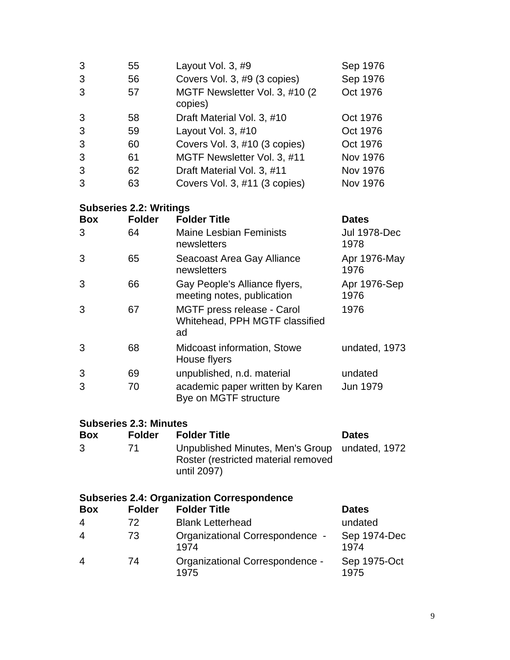| 3 | 55 | Layout Vol. 3, #9                          | Sep 1976        |  |  |
|---|----|--------------------------------------------|-----------------|--|--|
| 3 | 56 | Covers Vol. 3, #9 (3 copies)               | Sep 1976        |  |  |
| 3 | 57 | MGTF Newsletter Vol. 3, #10 (2)<br>copies) | Oct 1976        |  |  |
| 3 | 58 | Draft Material Vol. 3, #10                 | Oct 1976        |  |  |
| 3 | 59 | Layout Vol. 3, #10                         | Oct 1976        |  |  |
| 3 | 60 | Covers Vol. 3, #10 (3 copies)              | Oct 1976        |  |  |
| 3 | 61 | MGTF Newsletter Vol. 3, #11                | <b>Nov 1976</b> |  |  |
| 3 | 62 | Draft Material Vol. 3, #11                 | <b>Nov 1976</b> |  |  |
| 3 | 63 | Covers Vol. 3, #11 (3 copies)              | Nov 1976        |  |  |
|   |    |                                            |                 |  |  |

#### **Subseries 2.2: Writings**

| <b>Box</b> | <b>Folder</b> | <b>Folder Title</b>                                                | <b>Dates</b>                |
|------------|---------------|--------------------------------------------------------------------|-----------------------------|
| 3          | 64            | <b>Maine Lesbian Feminists</b><br>newsletters                      | <b>Jul 1978-Dec</b><br>1978 |
| 3          | 65            | Seacoast Area Gay Alliance<br>newsletters                          | Apr 1976-May<br>1976        |
| 3          | 66            | Gay People's Alliance flyers,<br>meeting notes, publication        | Apr 1976-Sep<br>1976        |
| 3          | 67            | MGTF press release - Carol<br>Whitehead, PPH MGTF classified<br>ad | 1976                        |
| 3          | 68            | Midcoast information, Stowe<br>House flyers                        | undated, 1973               |
| 3          | 69            | unpublished, n.d. material                                         | undated                     |
| 3          | 70            | academic paper written by Karen<br>Bye on MGTF structure           | <b>Jun 1979</b>             |

## **Subseries 2.3: Minutes**

| <b>Box</b> | <b>Folder</b> | <b>Folder Title</b>                                                                                  | <b>Dates</b> |
|------------|---------------|------------------------------------------------------------------------------------------------------|--------------|
| 3.         | 71            | Unpublished Minutes, Men's Group undated, 1972<br>Roster (restricted material removed<br>until 2097) |              |

#### **Subseries 2.4: Organization Correspondence**

| <b>Box</b>     | <b>Folder</b> | <b>Folder Title</b>                     | <b>Dates</b>         |
|----------------|---------------|-----------------------------------------|----------------------|
| $\overline{4}$ | 72            | <b>Blank Letterhead</b>                 | undated              |
| $\overline{4}$ | 73            | Organizational Correspondence -<br>1974 | Sep 1974-Dec<br>1974 |
| $\overline{4}$ | 74            | Organizational Correspondence -<br>1975 | Sep 1975-Oct<br>1975 |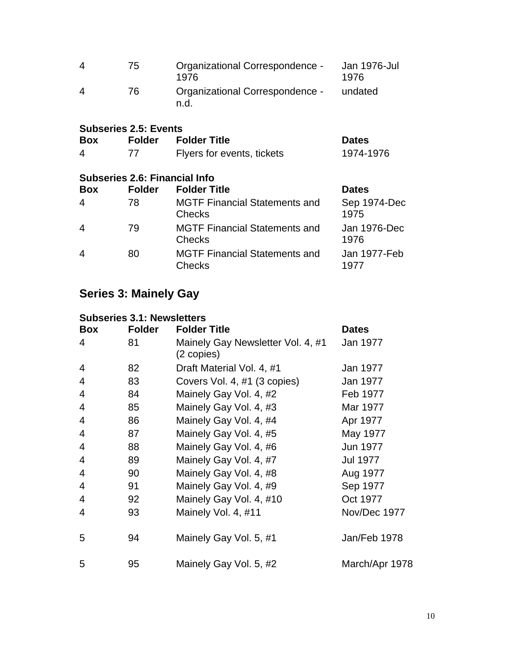| 4                     | 75. | Organizational Correspondence -<br>1976 | Jan 1976-Jul<br>1976 |
|-----------------------|-----|-----------------------------------------|----------------------|
| $\boldsymbol{\Delta}$ | 76  | Organizational Correspondence -<br>n.d. | undated              |

## **Subseries 2.5: Events**

| <b>Box</b> | Folder | <b>Folder Title</b>        | <b>Dates</b> |
|------------|--------|----------------------------|--------------|
| 4          |        | Flyers for events, tickets | 1974-1976    |

#### **Subseries 2.6: Financial Info**

| <b>Box</b>     | <b>Folder</b> | <b>Folder Title</b>                                   | <b>Dates</b>         |
|----------------|---------------|-------------------------------------------------------|----------------------|
| $\overline{4}$ | 78            | <b>MGTF Financial Statements and</b><br><b>Checks</b> | Sep 1974-Dec<br>1975 |
| $\overline{4}$ | 79            | <b>MGTF Financial Statements and</b><br><b>Checks</b> | Jan 1976-Dec<br>1976 |
| $\overline{4}$ | 80            | <b>MGTF Financial Statements and</b><br><b>Checks</b> | Jan 1977-Feb<br>1977 |

# **Series 3: Mainely Gay**

## **Subseries 3.1: Newsletters**

| <b>Box</b> | <b>Folder</b> | <b>Folder Title</b>                             | <b>Dates</b>   |
|------------|---------------|-------------------------------------------------|----------------|
| 4          | 81            | Mainely Gay Newsletter Vol. 4, #1<br>(2 copies) | Jan 1977       |
| 4          | 82            | Draft Material Vol. 4, #1                       | Jan 1977       |
| 4          | 83            | Covers Vol. 4, #1 (3 copies)                    | Jan 1977       |
| 4          | 84            | Mainely Gay Vol. 4, #2                          | Feb 1977       |
| 4          | 85            | Mainely Gay Vol. 4, #3                          | Mar 1977       |
| 4          | 86            | Mainely Gay Vol. 4, #4                          | Apr 1977       |
| 4          | 87            | Mainely Gay Vol. 4, #5                          | May 1977       |
| 4          | 88            | Mainely Gay Vol. 4, #6                          | Jun 1977       |
| 4          | 89            | Mainely Gay Vol. 4, #7                          | Jul 1977       |
| 4          | 90            | Mainely Gay Vol. 4, #8                          | Aug 1977       |
| 4          | 91            | Mainely Gay Vol. 4, #9                          | Sep 1977       |
| 4          | 92            | Mainely Gay Vol. 4, #10                         | Oct 1977       |
| 4          | 93            | Mainely Vol. 4, #11                             | Nov/Dec 1977   |
| 5          | 94            | Mainely Gay Vol. 5, #1                          | Jan/Feb 1978   |
| 5          | 95            | Mainely Gay Vol. 5, #2                          | March/Apr 1978 |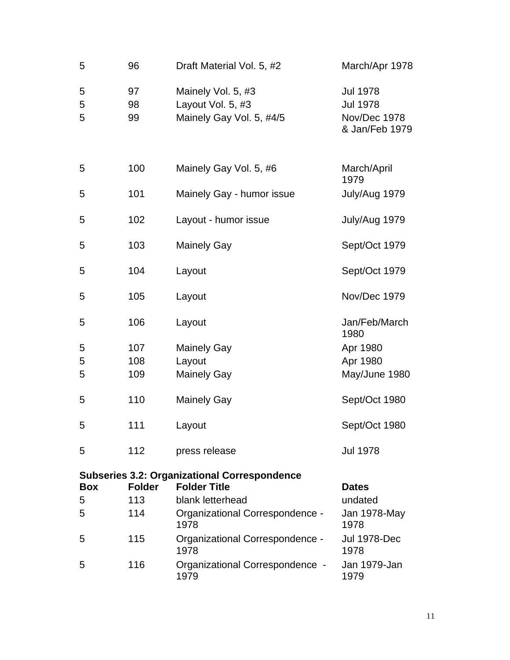| 5           | 96             | Draft Material Vol. 5, #2                                           | March/Apr 1978                                                       |
|-------------|----------------|---------------------------------------------------------------------|----------------------------------------------------------------------|
| 5<br>5<br>5 | 97<br>98<br>99 | Mainely Vol. 5, #3<br>Layout Vol. 5, #3<br>Mainely Gay Vol. 5, #4/5 | <b>Jul 1978</b><br><b>Jul 1978</b><br>Nov/Dec 1978<br>& Jan/Feb 1979 |
| 5           | 100            | Mainely Gay Vol. 5, #6                                              | March/April<br>1979                                                  |
| 5           | 101            | Mainely Gay - humor issue                                           | July/Aug 1979                                                        |
| 5           | 102            | Layout - humor issue                                                | July/Aug 1979                                                        |
| 5           | 103            | <b>Mainely Gay</b>                                                  | Sept/Oct 1979                                                        |
| 5           | 104            | Layout                                                              | Sept/Oct 1979                                                        |
| 5           | 105            | Layout                                                              | Nov/Dec 1979                                                         |
| 5           | 106            | Layout                                                              | Jan/Feb/March<br>1980                                                |
| 5           | 107            | <b>Mainely Gay</b>                                                  | Apr 1980                                                             |
| 5           | 108            | Layout                                                              | Apr 1980                                                             |
| 5           | 109            | <b>Mainely Gay</b>                                                  | May/June 1980                                                        |
| 5           | 110            | <b>Mainely Gay</b>                                                  | Sept/Oct 1980                                                        |
| 5           | 111            | Layout                                                              | Sept/Oct 1980                                                        |
| 5           | 112            | press release                                                       | <b>Jul 1978</b>                                                      |
|             |                | <b>Subseries 3.2: Organizational Correspondence</b>                 |                                                                      |
| <b>Box</b>  | <b>Folder</b>  | <b>Folder Title</b>                                                 | <b>Dates</b>                                                         |
| 5           | 113            | blank letterhead                                                    | undated                                                              |
| 5           | 114            | Organizational Correspondence -<br>1978                             | Jan 1978-May<br>1978                                                 |
| 5           | 115            | Organizational Correspondence -<br>1978                             | <b>Jul 1978-Dec</b><br>1978                                          |
| 5           | 116            | Organizational Correspondence -<br>1979                             | Jan 1979-Jan<br>1979                                                 |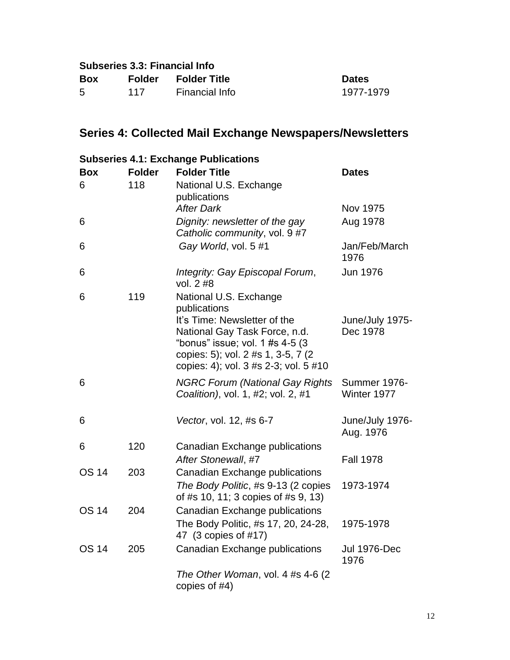| <b>Subseries 3.3: Financial Info</b> |     |                     |              |  |
|--------------------------------------|-----|---------------------|--------------|--|
| <b>Box</b>                           |     | Folder Folder Title | <b>Dates</b> |  |
| 5.                                   | 117 | Financial Info      | 1977-1979    |  |

# **Series 4: Collected Mail Exchange Newspapers/Newsletters**

|              | <b>Subseries 4.1: Exchange Publications</b> |                                                                                                                                                                                   |                                    |  |  |
|--------------|---------------------------------------------|-----------------------------------------------------------------------------------------------------------------------------------------------------------------------------------|------------------------------------|--|--|
| <b>Box</b>   | <b>Folder</b>                               | <b>Folder Title</b>                                                                                                                                                               | <b>Dates</b>                       |  |  |
| 6            | 118                                         | National U.S. Exchange<br>publications                                                                                                                                            |                                    |  |  |
|              |                                             | <b>After Dark</b>                                                                                                                                                                 | Nov 1975                           |  |  |
| 6            |                                             | Dignity: newsletter of the gay<br>Catholic community, vol. 9 #7                                                                                                                   | Aug 1978                           |  |  |
| 6            |                                             | Gay World, vol. 5 #1                                                                                                                                                              | Jan/Feb/March<br>1976              |  |  |
| 6            |                                             | Integrity: Gay Episcopal Forum,<br>vol. 2 #8                                                                                                                                      | Jun 1976                           |  |  |
| 6            | 119                                         | National U.S. Exchange<br>publications                                                                                                                                            |                                    |  |  |
|              |                                             | It's Time: Newsletter of the<br>National Gay Task Force, n.d.<br>"bonus" issue; vol. 1 #s 4-5 (3)<br>copies: 5); vol. 2 #s 1, 3-5, 7 (2)<br>copies: 4); vol. 3 #s 2-3; vol. 5 #10 | June/July 1975-<br>Dec 1978        |  |  |
| 6            |                                             | <b>NGRC Forum (National Gay Rights</b><br>Coalition), vol. 1, #2; vol. 2, #1                                                                                                      | <b>Summer 1976-</b><br>Winter 1977 |  |  |
| 6            |                                             | Vector, vol. 12, #s 6-7                                                                                                                                                           | June/July 1976-<br>Aug. 1976       |  |  |
| 6            | 120                                         | Canadian Exchange publications<br>After Stonewall, #7                                                                                                                             | <b>Fall 1978</b>                   |  |  |
| <b>OS 14</b> | 203                                         | Canadian Exchange publications<br>The Body Politic, #s 9-13 (2 copies<br>of #s 10, 11; 3 copies of #s 9, 13)                                                                      | 1973-1974                          |  |  |
| <b>OS 14</b> | 204                                         | Canadian Exchange publications<br>The Body Politic, #s 17, 20, 24-28,<br>47 (3 copies of #17)                                                                                     | 1975-1978                          |  |  |
| <b>OS 14</b> | 205                                         | Canadian Exchange publications                                                                                                                                                    | <b>Jul 1976-Dec</b><br>1976        |  |  |
|              |                                             | The Other Woman, vol. 4 #s 4-6 (2)<br>copies of #4)                                                                                                                               |                                    |  |  |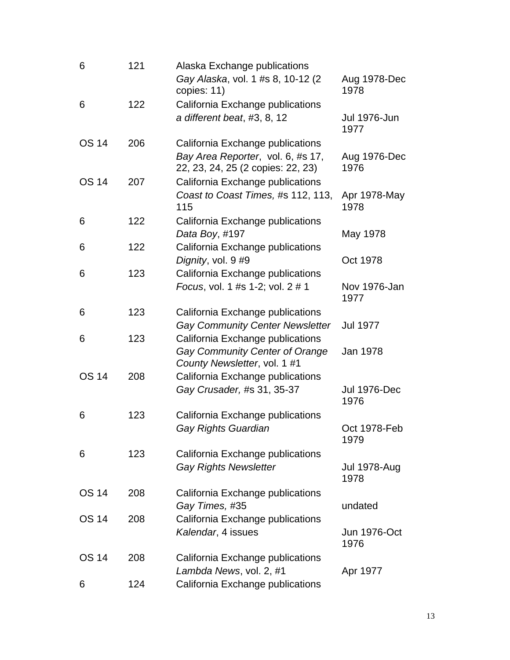| 6            | 121 | Alaska Exchange publications<br>Gay Alaska, vol. 1 #s 8, 10-12 (2<br>copies: 11)                           | Aug 1978-Dec<br>1978 |
|--------------|-----|------------------------------------------------------------------------------------------------------------|----------------------|
| 6            | 122 | California Exchange publications<br>a different beat, #3, 8, 12                                            | Jul 1976-Jun<br>1977 |
| <b>OS 14</b> | 206 | California Exchange publications<br>Bay Area Reporter, vol. 6, #s 17,<br>22, 23, 24, 25 (2 copies: 22, 23) | Aug 1976-Dec<br>1976 |
| <b>OS 14</b> | 207 | California Exchange publications<br>Coast to Coast Times, #s 112, 113,<br>115                              | Apr 1978-May<br>1978 |
| 6            | 122 | California Exchange publications<br>Data Boy, #197                                                         | May 1978             |
| 6            | 122 | California Exchange publications<br>Dignity, vol. 9 #9                                                     | Oct 1978             |
| 6            | 123 | California Exchange publications<br>Focus, vol. 1 #s 1-2; vol. 2 # 1                                       | Nov 1976-Jan<br>1977 |
| 6            | 123 | California Exchange publications<br><b>Gay Community Center Newsletter</b>                                 | <b>Jul 1977</b>      |
| 6            | 123 | California Exchange publications<br>Gay Community Center of Orange<br>County Newsletter, vol. 1 #1         | Jan 1978             |
| <b>OS 14</b> | 208 | California Exchange publications<br>Gay Crusader, #s 31, 35-37                                             | Jul 1976-Dec<br>1976 |
| 6            | 123 | California Exchange publications<br><b>Gay Rights Guardian</b>                                             | Oct 1978-Feb<br>1979 |
| 6            | 123 | California Exchange publications<br><b>Gay Rights Newsletter</b>                                           | Jul 1978-Aug<br>1978 |
| <b>OS 14</b> | 208 | California Exchange publications<br>Gay Times, #35                                                         | undated              |
| <b>OS 14</b> | 208 | California Exchange publications<br>Kalendar, 4 issues                                                     | Jun 1976-Oct<br>1976 |
| <b>OS 14</b> | 208 | California Exchange publications<br>Lambda News, vol. 2, #1                                                | Apr 1977             |
| 6            | 124 | California Exchange publications                                                                           |                      |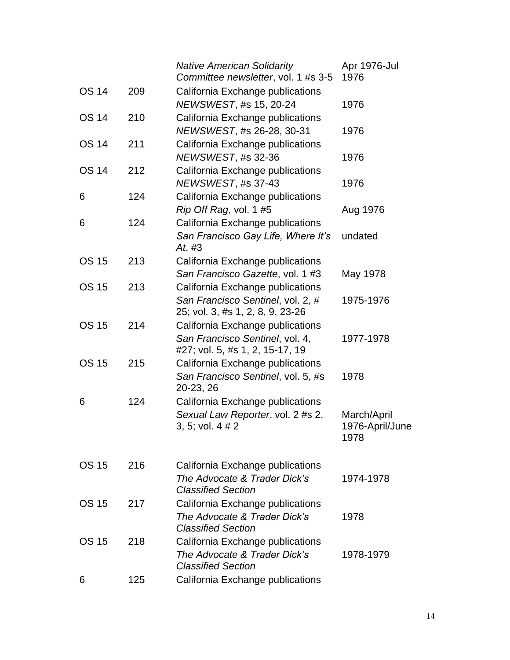|              |     | <b>Native American Solidarity</b><br>Committee newsletter, vol. 1 #s 3-5 | Apr 1976-Jul<br>1976    |
|--------------|-----|--------------------------------------------------------------------------|-------------------------|
| <b>OS 14</b> | 209 | California Exchange publications<br>NEWSWEST, #s 15, 20-24               | 1976                    |
| <b>OS 14</b> | 210 | California Exchange publications                                         |                         |
|              |     | NEWSWEST, #s 26-28, 30-31                                                | 1976                    |
| <b>OS 14</b> | 211 | California Exchange publications<br>NEWSWEST, #s 32-36                   | 1976                    |
| <b>OS 14</b> | 212 | California Exchange publications                                         |                         |
|              |     | NEWSWEST, #s 37-43                                                       | 1976                    |
| 6            | 124 | California Exchange publications                                         |                         |
|              |     | Rip Off Rag, vol. 1 #5                                                   | Aug 1976                |
| 6            | 124 | California Exchange publications<br>San Francisco Gay Life, Where It's   | undated                 |
|              |     | At, $#3$                                                                 |                         |
| <b>OS 15</b> | 213 | California Exchange publications                                         |                         |
|              |     | San Francisco Gazette, vol. 1 #3                                         | May 1978                |
| <b>OS 15</b> | 213 | California Exchange publications                                         |                         |
|              |     | San Francisco Sentinel, vol. 2, #                                        | 1975-1976               |
| <b>OS 15</b> | 214 | 25; vol. 3, #s 1, 2, 8, 9, 23-26<br>California Exchange publications     |                         |
|              |     | San Francisco Sentinel, vol. 4,                                          | 1977-1978               |
|              |     | #27; vol. 5, #s 1, 2, 15-17, 19                                          |                         |
| <b>OS 15</b> | 215 | California Exchange publications                                         |                         |
|              |     | San Francisco Sentinel, vol. 5, #s<br>20-23, 26                          | 1978                    |
| 6            | 124 | California Exchange publications                                         |                         |
|              |     | Sexual Law Reporter, vol. 2 #s 2,                                        | March/April             |
|              |     | 3, 5; vol. 4 # 2                                                         | 1976-April/June<br>1978 |
|              |     |                                                                          |                         |
| <b>OS 15</b> | 216 | California Exchange publications                                         |                         |
|              |     | The Advocate & Trader Dick's                                             | 1974-1978               |
| <b>OS 15</b> | 217 | <b>Classified Section</b><br>California Exchange publications            |                         |
|              |     | The Advocate & Trader Dick's                                             | 1978                    |
|              |     | <b>Classified Section</b>                                                |                         |
| OS 15        | 218 | California Exchange publications                                         |                         |
|              |     | The Advocate & Trader Dick's<br><b>Classified Section</b>                | 1978-1979               |
| 6            | 125 | California Exchange publications                                         |                         |
|              |     |                                                                          |                         |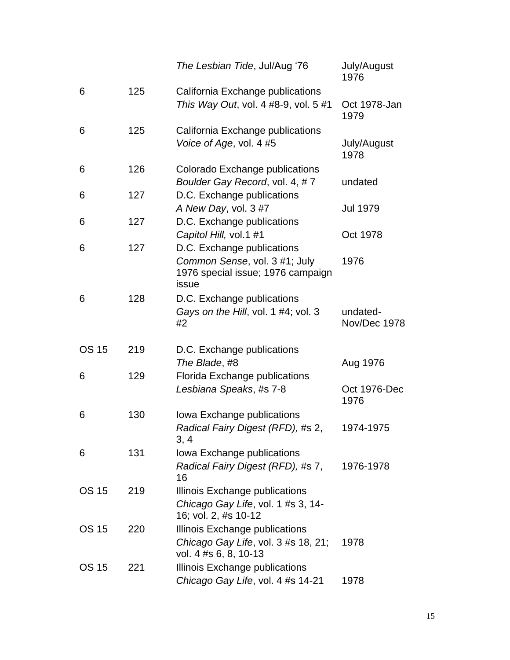|              |     | The Lesbian Tide, Jul/Aug '76                                               | July/August<br>1976      |
|--------------|-----|-----------------------------------------------------------------------------|--------------------------|
| 6            | 125 | California Exchange publications<br>This Way Out, vol. 4 #8-9, vol. 5 #1    | Oct 1978-Jan<br>1979     |
| 6            | 125 | California Exchange publications                                            |                          |
|              |     | Voice of Age, vol. 4 #5                                                     | July/August<br>1978      |
| 6            | 126 | Colorado Exchange publications                                              |                          |
|              |     | Boulder Gay Record, vol. 4, #7                                              | undated                  |
| 6            | 127 | D.C. Exchange publications                                                  |                          |
|              |     | A New Day, vol. 3 #7                                                        | <b>Jul 1979</b>          |
| 6            | 127 | D.C. Exchange publications                                                  |                          |
|              |     | Capitol Hill, vol.1 #1                                                      | Oct 1978                 |
| 6            | 127 | D.C. Exchange publications                                                  |                          |
|              |     | Common Sense, vol. 3 #1; July<br>1976 special issue; 1976 campaign<br>issue | 1976                     |
| 6            | 128 | D.C. Exchange publications                                                  |                          |
|              |     | Gays on the Hill, vol. 1 #4; vol. 3<br>#2                                   | undated-<br>Nov/Dec 1978 |
| <b>OS 15</b> | 219 | D.C. Exchange publications                                                  |                          |
|              |     | The Blade, #8                                                               | Aug 1976                 |
| 6            | 129 | Florida Exchange publications                                               |                          |
|              |     | Lesbiana Speaks, #s 7-8                                                     | Oct 1976-Dec<br>1976     |
| 6            | 130 | Iowa Exchange publications                                                  |                          |
|              |     | Radical Fairy Digest (RFD), #s 2,<br>3, 4                                   | 1974-1975                |
| 6            | 131 | Iowa Exchange publications                                                  |                          |
|              |     | Radical Fairy Digest (RFD), #s 7,<br>16                                     | 1976-1978                |
| <b>OS 15</b> | 219 | Illinois Exchange publications                                              |                          |
|              |     | Chicago Gay Life, vol. 1 #s 3, 14-<br>16; vol. 2, #s 10-12                  |                          |
| <b>OS 15</b> | 220 | Illinois Exchange publications                                              |                          |
|              |     | Chicago Gay Life, vol. 3 #s 18, 21;<br>vol. 4 #s 6, 8, 10-13                | 1978                     |
| <b>OS 15</b> | 221 | Illinois Exchange publications                                              |                          |
|              |     | Chicago Gay Life, vol. 4 #s 14-21                                           | 1978                     |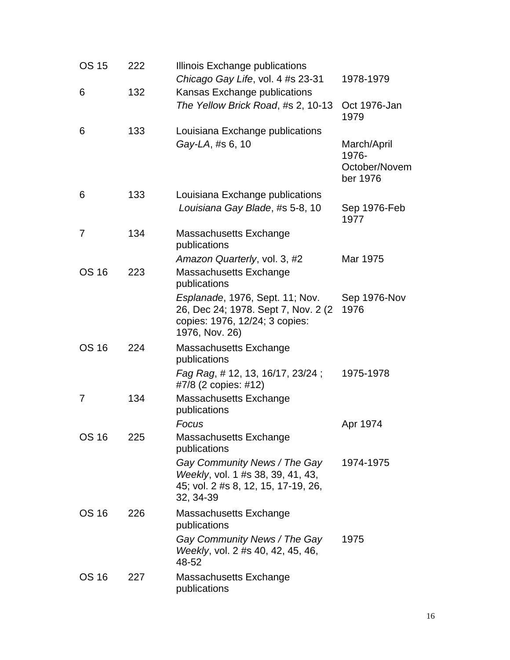| <b>OS 15</b> | 222 | Illinois Exchange publications<br>Chicago Gay Life, vol. 4 #s 23-31                                                         | 1978-1979                                         |
|--------------|-----|-----------------------------------------------------------------------------------------------------------------------------|---------------------------------------------------|
| 6            | 132 | Kansas Exchange publications                                                                                                |                                                   |
|              |     | The Yellow Brick Road, #s 2, 10-13                                                                                          | Oct 1976-Jan<br>1979                              |
| 6            | 133 | Louisiana Exchange publications<br>Gay-LA, #s 6, 10                                                                         | March/April<br>1976-<br>October/Novem<br>ber 1976 |
| 6            | 133 | Louisiana Exchange publications<br>Louisiana Gay Blade, #s 5-8, 10                                                          | Sep 1976-Feb<br>1977                              |
| 7            | 134 | Massachusetts Exchange<br>publications                                                                                      |                                                   |
| <b>OS 16</b> | 223 | Amazon Quarterly, vol. 3, #2<br>Massachusetts Exchange<br>publications                                                      | Mar 1975                                          |
|              |     | Esplanade, 1976, Sept. 11; Nov.<br>26, Dec 24; 1978. Sept 7, Nov. 2 (2)<br>copies: 1976, 12/24; 3 copies:<br>1976, Nov. 26) | Sep 1976-Nov<br>1976                              |
| <b>OS 16</b> | 224 | Massachusetts Exchange<br>publications                                                                                      |                                                   |
|              |     | Fag Rag, # 12, 13, 16/17, 23/24;<br>#7/8 (2 copies: #12)                                                                    | 1975-1978                                         |
| 7            | 134 | Massachusetts Exchange<br>publications                                                                                      |                                                   |
| <b>OS 16</b> | 225 | Focus<br>Massachusetts Exchange<br>publications                                                                             | Apr 1974                                          |
|              |     | Gay Community News / The Gay<br>Weekly, vol. 1 #s 38, 39, 41, 43,<br>45; vol. 2 #s 8, 12, 15, 17-19, 26,<br>32, 34-39       | 1974-1975                                         |
| <b>OS 16</b> | 226 | Massachusetts Exchange<br>publications                                                                                      |                                                   |
|              |     | Gay Community News / The Gay<br>Weekly, vol. 2 #s 40, 42, 45, 46,<br>48-52                                                  | 1975                                              |
| <b>OS 16</b> | 227 | Massachusetts Exchange<br>publications                                                                                      |                                                   |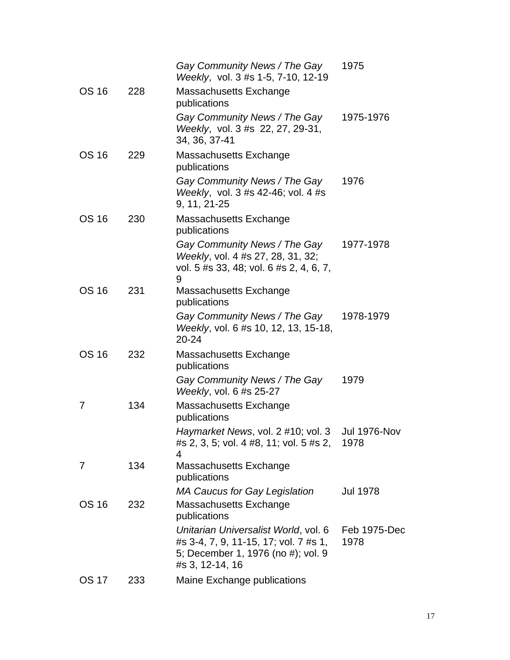|              |     | Gay Community News / The Gay<br>Weekly, vol. 3 #s 1-5, 7-10, 12-19                                                                     | 1975                 |
|--------------|-----|----------------------------------------------------------------------------------------------------------------------------------------|----------------------|
| <b>OS 16</b> | 228 | Massachusetts Exchange<br>publications                                                                                                 |                      |
|              |     | Gay Community News / The Gay<br>Weekly, vol. 3 #s 22, 27, 29-31,<br>34, 36, 37-41                                                      | 1975-1976            |
| <b>OS 16</b> | 229 | Massachusetts Exchange<br>publications                                                                                                 |                      |
|              |     | Gay Community News / The Gay<br>Weekly, vol. 3 #s 42-46; vol. 4 #s<br>9, 11, 21-25                                                     | 1976                 |
| <b>OS 16</b> | 230 | Massachusetts Exchange<br>publications                                                                                                 |                      |
|              |     | Gay Community News / The Gay<br>Weekly, vol. 4 #s 27, 28, 31, 32;<br>vol. 5 #s 33, 48; vol. 6 #s 2, 4, 6, 7,<br>9                      | 1977-1978            |
| <b>OS 16</b> | 231 | Massachusetts Exchange<br>publications                                                                                                 |                      |
|              |     | Gay Community News / The Gay<br>Weekly, vol. 6 #s 10, 12, 13, 15-18,<br>$20 - 24$                                                      | 1978-1979            |
| <b>OS 16</b> | 232 | Massachusetts Exchange<br>publications                                                                                                 |                      |
|              |     | Gay Community News / The Gay<br><i>Weekly, vol. 6 #s 25-27</i>                                                                         | 1979                 |
| 7            | 134 | Massachusetts Exchange<br>publications                                                                                                 |                      |
|              |     | Haymarket News, vol. 2 #10; vol. 3 Jul 1976-Nov<br>#s 2, 3, 5; vol. 4 #8, 11; vol. 5 #s 2,<br>4                                        | 1978                 |
| 7            | 134 | Massachusetts Exchange<br>publications                                                                                                 |                      |
| <b>OS 16</b> | 232 | <b>MA Caucus for Gay Legislation</b><br>Massachusetts Exchange<br>publications                                                         | <b>Jul 1978</b>      |
|              |     | Unitarian Universalist World, vol. 6<br>#s 3-4, 7, 9, 11-15, 17; vol. 7 #s 1,<br>5; December 1, 1976 (no #); vol. 9<br>#s 3, 12-14, 16 | Feb 1975-Dec<br>1978 |
| <b>OS 17</b> | 233 | Maine Exchange publications                                                                                                            |                      |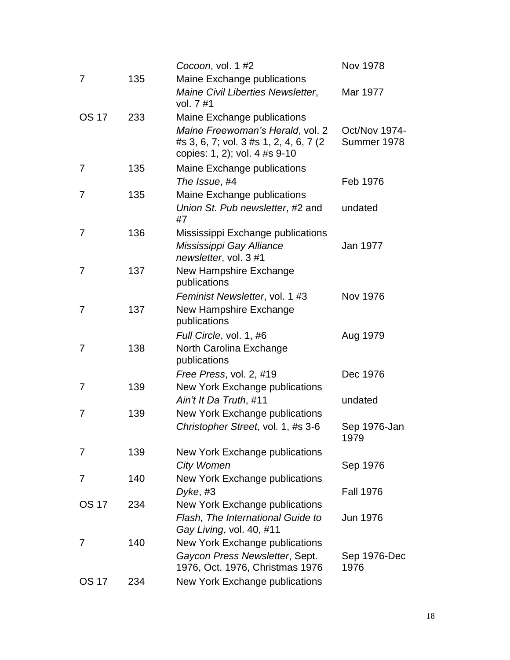|              |     | Cocoon, vol. 1 #2                                                                                            | <b>Nov 1978</b>              |
|--------------|-----|--------------------------------------------------------------------------------------------------------------|------------------------------|
| 7            | 135 | Maine Exchange publications                                                                                  |                              |
|              |     | Maine Civil Liberties Newsletter,<br>vol. 7 #1                                                               | Mar 1977                     |
| <b>OS 17</b> | 233 | Maine Exchange publications                                                                                  |                              |
|              |     | Maine Freewoman's Herald, vol. 2<br>#s 3, 6, 7; vol. 3 #s 1, 2, 4, 6, 7 (2)<br>copies: 1, 2); vol. 4 #s 9-10 | Oct/Nov 1974-<br>Summer 1978 |
| 7            | 135 | Maine Exchange publications<br>The Issue, #4                                                                 | Feb 1976                     |
| 7            | 135 | Maine Exchange publications                                                                                  |                              |
|              |     | Union St. Pub newsletter, #2 and<br>#7                                                                       | undated                      |
| 7            | 136 | Mississippi Exchange publications                                                                            |                              |
|              |     | Mississippi Gay Alliance<br>newsletter, vol. 3 #1                                                            | Jan 1977                     |
| 7            | 137 | New Hampshire Exchange<br>publications                                                                       |                              |
|              |     | Feminist Newsletter, vol. 1 #3                                                                               | <b>Nov 1976</b>              |
| 7            | 137 | New Hampshire Exchange<br>publications                                                                       |                              |
|              |     | Full Circle, vol. 1, #6                                                                                      | Aug 1979                     |
| 7            | 138 | North Carolina Exchange<br>publications                                                                      |                              |
|              |     | Free Press, vol. 2, #19                                                                                      | Dec 1976                     |
| 7            | 139 | New York Exchange publications<br>Ain't It Da Truth, #11                                                     | undated                      |
| 7            | 139 | New York Exchange publications                                                                               |                              |
|              |     | Christopher Street, vol. 1, #s 3-6                                                                           | Sep 1976-Jan<br>1979         |
| 7            | 139 | New York Exchange publications<br><b>City Women</b>                                                          | Sep 1976                     |
| 7            | 140 | New York Exchange publications                                                                               |                              |
|              |     | Dyke, #3                                                                                                     | <b>Fall 1976</b>             |
| <b>OS 17</b> | 234 | New York Exchange publications                                                                               |                              |
|              |     | Flash, The International Guide to<br>Gay Living, vol. 40, #11                                                | <b>Jun 1976</b>              |
| 7            | 140 | New York Exchange publications                                                                               |                              |
|              |     | Gaycon Press Newsletter, Sept.<br>1976, Oct. 1976, Christmas 1976                                            | Sep 1976-Dec<br>1976         |
| <b>OS 17</b> | 234 | New York Exchange publications                                                                               |                              |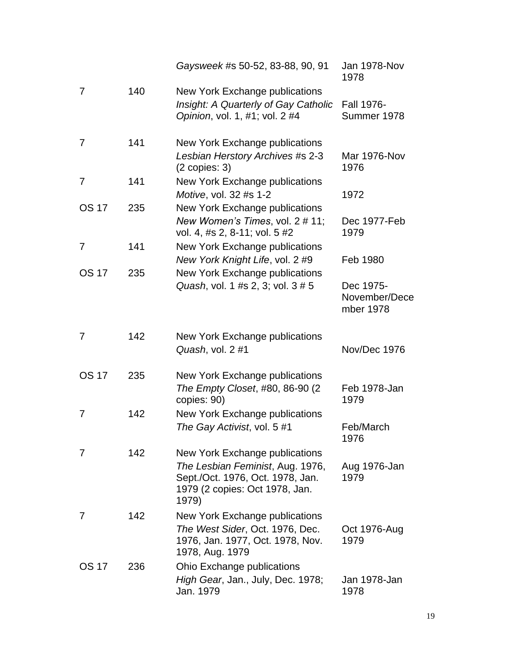|                |     | Gaysweek #s 50-52, 83-88, 90, 91                                                                                                                  | <b>Jan 1978-Nov</b><br>1978             |
|----------------|-----|---------------------------------------------------------------------------------------------------------------------------------------------------|-----------------------------------------|
| 7              | 140 | New York Exchange publications<br>Insight: A Quarterly of Gay Catholic<br>Opinion, vol. 1, #1; vol. 2 #4                                          | Fall 1976-<br>Summer 1978               |
| 7              | 141 | New York Exchange publications<br>Lesbian Herstory Archives #s 2-3<br>$(2 \text{ copies: } 3)$                                                    | Mar 1976-Nov<br>1976                    |
| $\overline{7}$ | 141 | New York Exchange publications<br>Motive, vol. 32 #s 1-2                                                                                          | 1972                                    |
| <b>OS 17</b>   | 235 | New York Exchange publications<br>New Women's Times, vol. 2 # 11;<br>vol. 4, #s 2, 8-11; vol. 5 #2                                                | Dec 1977-Feb<br>1979                    |
| 7              | 141 | New York Exchange publications<br>New York Knight Life, vol. 2 #9                                                                                 | Feb 1980                                |
| <b>OS 17</b>   | 235 | New York Exchange publications<br>Quash, vol. 1 #s 2, 3; vol. 3 # 5                                                                               | Dec 1975-<br>November/Dece<br>mber 1978 |
| 7              | 142 | New York Exchange publications<br>Quash, vol. 2 #1                                                                                                | Nov/Dec 1976                            |
| <b>OS 17</b>   | 235 | New York Exchange publications<br>The Empty Closet, #80, 86-90 (2<br>copies: 90)                                                                  | Feb 1978-Jan<br>1979                    |
| 7              | 142 | New York Exchange publications<br>The Gay Activist, vol. 5 #1                                                                                     | Feb/March<br>1976                       |
| 7              | 142 | New York Exchange publications<br>The Lesbian Feminist, Aug. 1976,<br>Sept./Oct. 1976, Oct. 1978, Jan.<br>1979 (2 copies: Oct 1978, Jan.<br>1979) | Aug 1976-Jan<br>1979                    |
| 7              | 142 | New York Exchange publications<br>The West Sider, Oct. 1976, Dec.<br>1976, Jan. 1977, Oct. 1978, Nov.<br>1978, Aug. 1979                          | Oct 1976-Aug<br>1979                    |
| <b>OS 17</b>   | 236 | Ohio Exchange publications<br>High Gear, Jan., July, Dec. 1978;<br>Jan. 1979                                                                      | Jan 1978-Jan<br>1978                    |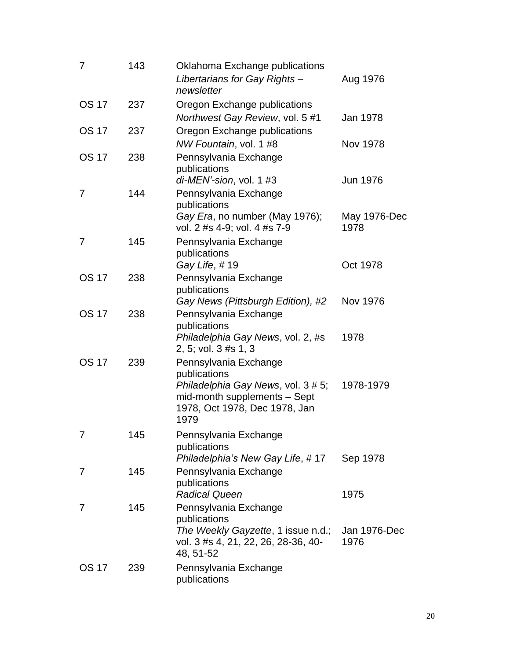| 7            | 143 | Oklahoma Exchange publications<br>Libertarians for Gay Rights-<br>newsletter                                | Aug 1976        |
|--------------|-----|-------------------------------------------------------------------------------------------------------------|-----------------|
| <b>OS 17</b> | 237 | Oregon Exchange publications<br>Northwest Gay Review, vol. 5 #1                                             | Jan 1978        |
| <b>OS 17</b> | 237 | Oregon Exchange publications<br>NW Fountain, vol. 1 #8                                                      | Nov 1978        |
| <b>OS 17</b> | 238 | Pennsylvania Exchange<br>publications<br>di-MEN'-sion, vol. 1 #3                                            | <b>Jun 1976</b> |
| 7            | 144 | Pennsylvania Exchange<br>publications<br>Gay Era, no number (May 1976);                                     | May 1976-Dec    |
|              |     | vol. 2 #s 4-9; vol. 4 #s 7-9                                                                                | 1978            |
| 7            | 145 | Pennsylvania Exchange<br>publications                                                                       |                 |
|              |     | Gay Life, #19                                                                                               | Oct 1978        |
| <b>OS 17</b> | 238 | Pennsylvania Exchange<br>publications                                                                       |                 |
| <b>OS 17</b> | 238 | Gay News (Pittsburgh Edition), #2<br>Pennsylvania Exchange                                                  | <b>Nov 1976</b> |
|              |     | publications<br>Philadelphia Gay News, vol. 2, #s<br>2, 5; vol. 3 #s 1, 3                                   | 1978            |
| <b>OS 17</b> | 239 | Pennsylvania Exchange<br>publications                                                                       |                 |
|              |     | Philadelphia Gay News, vol. 3 # 5;<br>mid-month supplements - Sept<br>1978, Oct 1978, Dec 1978, Jan<br>1979 | 1978-1979       |
|              | 145 | Pennsylvania Exchange<br>publications<br>Philadelphia's New Gay Life, #17                                   | Sep 1978        |
| 7            | 145 | Pennsylvania Exchange<br>publications<br><b>Radical Queen</b>                                               | 1975            |
| 7            | 145 | Pennsylvania Exchange<br>publications<br>The Weekly Gayzette, 1 issue n.d.;                                 | Jan 1976-Dec    |
|              |     | vol. 3 #s 4, 21, 22, 26, 28-36, 40-<br>48, 51-52                                                            | 1976            |
| <b>OS 17</b> | 239 | Pennsylvania Exchange<br>publications                                                                       |                 |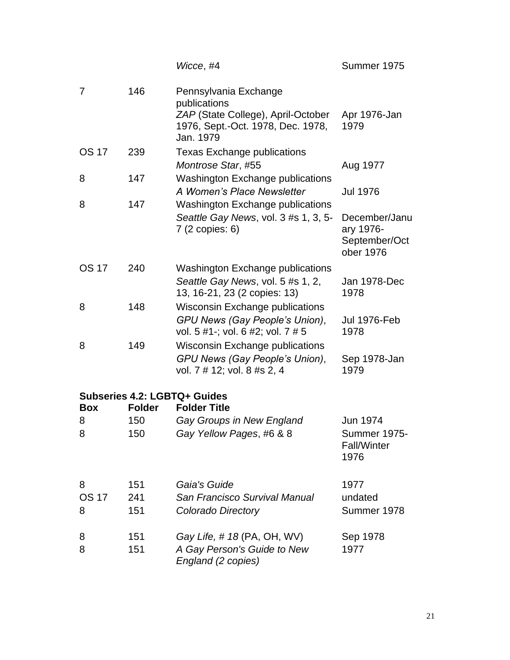|                        |                   | Wicce, #4                                                                                                                     | Summer 1975                                              |
|------------------------|-------------------|-------------------------------------------------------------------------------------------------------------------------------|----------------------------------------------------------|
| 7                      | 146               | Pennsylvania Exchange<br>publications<br>ZAP (State College), April-October<br>1976, Sept.-Oct. 1978, Dec. 1978,<br>Jan. 1979 | Apr 1976-Jan<br>1979                                     |
| <b>OS 17</b>           | 239               | <b>Texas Exchange publications</b><br>Montrose Star, #55                                                                      | Aug 1977                                                 |
| 8                      | 147               | <b>Washington Exchange publications</b><br>A Women's Place Newsletter                                                         | <b>Jul 1976</b>                                          |
| 8                      | 147               | <b>Washington Exchange publications</b><br>Seattle Gay News, vol. 3 #s 1, 3, 5-<br>7 (2 copies: 6)                            | December/Janu<br>ary 1976-<br>September/Oct<br>ober 1976 |
| <b>OS 17</b>           | 240               | <b>Washington Exchange publications</b><br>Seattle Gay News, vol. 5 #s 1, 2,<br>13, 16-21, 23 (2 copies: 13)                  | Jan 1978-Dec<br>1978                                     |
| 8                      | 148               | <b>Wisconsin Exchange publications</b><br>GPU News (Gay People's Union),<br>vol. 5 #1-; vol. 6 #2; vol. 7 # 5                 | <b>Jul 1976-Feb</b><br>1978                              |
| 8                      | 149               | <b>Wisconsin Exchange publications</b><br>GPU News (Gay People's Union),<br>vol. 7 # 12; vol. 8 #s 2, 4                       | Sep 1978-Jan<br>1979                                     |
| <b>Box</b>             | <b>Folder</b>     | <b>Subseries 4.2: LGBTQ+ Guides</b><br><b>Folder Title</b>                                                                    |                                                          |
| 8                      | 150               | Gay Groups in New England                                                                                                     | Jun 1974                                                 |
| 8                      | 150               | Gay Yellow Pages, #6 & 8                                                                                                      | Summer 1975-<br><b>Fall/Winter</b><br>1976               |
| 8<br><b>OS 17</b><br>8 | 151<br>241<br>151 | Gaia's Guide<br>San Francisco Survival Manual<br>Colorado Directory                                                           | 1977<br>undated<br>Summer 1978                           |
| 8<br>8                 | 151<br>151        | Gay Life, #18 (PA, OH, WV)<br>A Gay Person's Guide to New<br>England (2 copies)                                               | Sep 1978<br>1977                                         |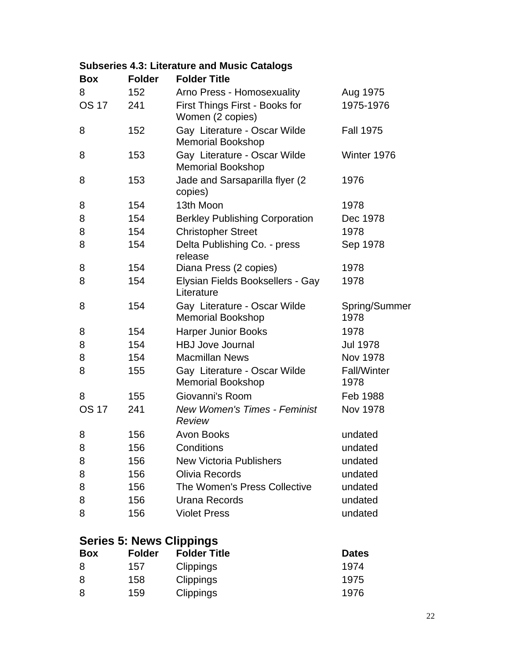| <b>Box</b>   | <b>Folder</b> | <b>Folder Title</b>                                      |                            |
|--------------|---------------|----------------------------------------------------------|----------------------------|
| 8            | 152           | Arno Press - Homosexuality                               | Aug 1975                   |
| <b>OS 17</b> | 241           | First Things First - Books for<br>Women (2 copies)       | 1975-1976                  |
| 8            | 152           | Gay Literature - Oscar Wilde<br><b>Memorial Bookshop</b> | <b>Fall 1975</b>           |
| 8            | 153           | Gay Literature - Oscar Wilde<br><b>Memorial Bookshop</b> | Winter 1976                |
| 8            | 153           | Jade and Sarsaparilla flyer (2)<br>copies)               | 1976                       |
| 8            | 154           | 13th Moon                                                | 1978                       |
| 8            | 154           | <b>Berkley Publishing Corporation</b>                    | Dec 1978                   |
| 8            | 154           | <b>Christopher Street</b>                                | 1978                       |
| 8            | 154           | Delta Publishing Co. - press<br>release                  | Sep 1978                   |
| 8            | 154           | Diana Press (2 copies)                                   | 1978                       |
| 8            | 154           | Elysian Fields Booksellers - Gay<br>Literature           | 1978                       |
| 8            | 154           | Gay Literature - Oscar Wilde<br><b>Memorial Bookshop</b> | Spring/Summer<br>1978      |
| 8            | 154           | <b>Harper Junior Books</b>                               | 1978                       |
| 8            | 154           | <b>HBJ Jove Journal</b>                                  | <b>Jul 1978</b>            |
| 8            | 154           | <b>Macmillan News</b>                                    | Nov 1978                   |
| 8            | 155           | Gay Literature - Oscar Wilde<br><b>Memorial Bookshop</b> | <b>Fall/Winter</b><br>1978 |
| 8            | 155           | Giovanni's Room                                          | Feb 1988                   |
| <b>OS 17</b> | 241           | <b>New Women's Times - Feminist</b><br><b>Review</b>     | <b>Nov 1978</b>            |
| 8            | 156           | <b>Avon Books</b>                                        | undated                    |
| 8            | 156           | Conditions                                               | undated                    |
| 8            | 156           | <b>New Victoria Publishers</b>                           | undated                    |
| 8            | 156           | Olivia Records                                           | undated                    |
| 8            | 156           | The Women's Press Collective                             | undated                    |
| 8            | 156           | Urana Records                                            | undated                    |
| 8            | 156           | <b>Violet Press</b>                                      | undated                    |

#### **Subseries 4.3: Literature and Music Catalogs**

# **Series 5: News Clippings**

| <b>Box</b> | <b>Folder</b> | <b>Folder Title</b> | <b>Dates</b> |
|------------|---------------|---------------------|--------------|
| 8          | 157           | <b>Clippings</b>    | 1974         |
| 8          | 158           | <b>Clippings</b>    | 1975         |
| 8          | 159           | <b>Clippings</b>    | 1976         |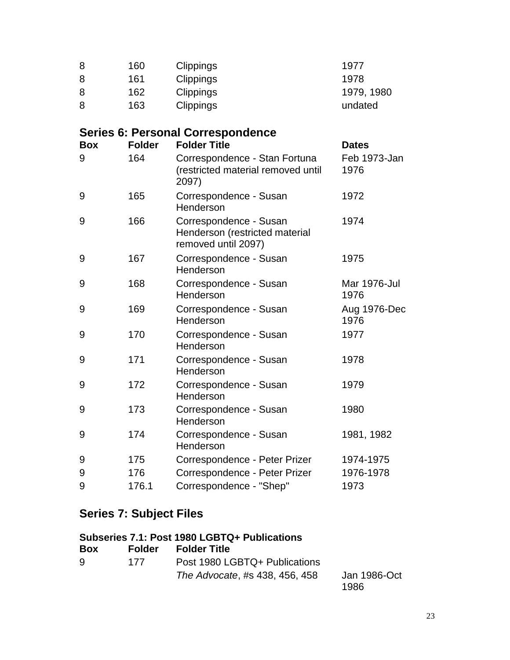| 8          | 160           | Clippings                                                                       | 1977                 |
|------------|---------------|---------------------------------------------------------------------------------|----------------------|
| 8          | 161           | Clippings                                                                       | 1978                 |
| 8          | 162           | Clippings                                                                       | 1979, 1980           |
| 8          | 163           | Clippings                                                                       | undated              |
|            |               | <b>Series 6: Personal Correspondence</b>                                        |                      |
| <b>Box</b> | <b>Folder</b> | <b>Folder Title</b>                                                             | <b>Dates</b>         |
| 9          | 164           | Correspondence - Stan Fortuna<br>(restricted material removed until<br>2097)    | Feb 1973-Jan<br>1976 |
| 9          | 165           | Correspondence - Susan<br>Henderson                                             | 1972                 |
| 9          | 166           | Correspondence - Susan<br>Henderson (restricted material<br>removed until 2097) | 1974                 |
| 9          | 167           | Correspondence - Susan<br>Henderson                                             | 1975                 |
| 9          | 168           | Correspondence - Susan<br>Henderson                                             | Mar 1976-Jul<br>1976 |
| 9          | 169           | Correspondence - Susan<br>Henderson                                             | Aug 1976-Dec<br>1976 |
| 9          | 170           | Correspondence - Susan<br>Henderson                                             | 1977                 |
| 9          | 171           | Correspondence - Susan<br>Henderson                                             | 1978                 |
| 9          | 172           | Correspondence - Susan<br>Henderson                                             | 1979                 |
| 9          | 173           | Correspondence - Susan<br>Henderson                                             | 1980                 |
| 9          | 174           | Correspondence - Susan<br>Henderson                                             | 1981, 1982           |
| 9          | 175           | Correspondence - Peter Prizer                                                   | 1974-1975            |
| 9          | 176           | Correspondence - Peter Prizer                                                   | 1976-1978            |
| 9          | 176.1         | Correspondence - "Shep"                                                         | 1973                 |

# **Series 7: Subject Files**

| Subseries 7.1: Post 1980 LGBTQ+ Publications |        |                                |                      |
|----------------------------------------------|--------|--------------------------------|----------------------|
| <b>Box</b>                                   | Folder | <b>Folder Title</b>            |                      |
| 9                                            | 177    | Post 1980 LGBTQ+ Publications  |                      |
|                                              |        | The Advocate, #s 438, 456, 458 | Jan 1986-Oct<br>1986 |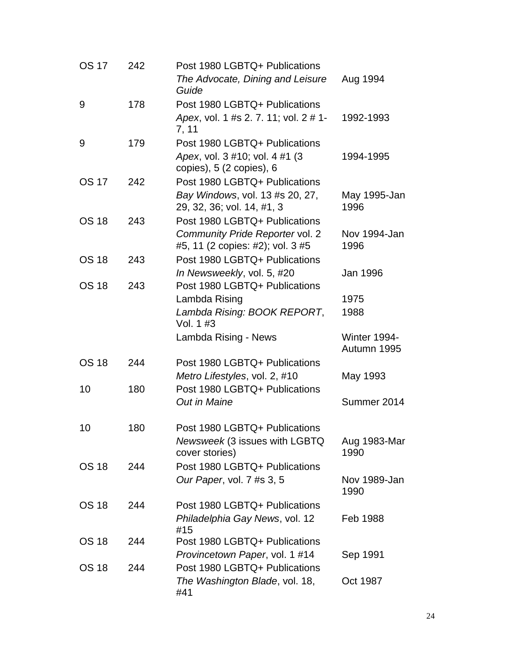| <b>OS 17</b> | 242 | Post 1980 LGBTQ+ Publications                                          |                                    |
|--------------|-----|------------------------------------------------------------------------|------------------------------------|
|              |     | The Advocate, Dining and Leisure<br>Guide                              | Aug 1994                           |
| 9            | 178 | Post 1980 LGBTQ+ Publications                                          |                                    |
|              |     | Apex, vol. 1 #s 2. 7. 11; vol. 2 # 1-<br>7, 11                         | 1992-1993                          |
| 9            | 179 | Post 1980 LGBTQ+ Publications                                          |                                    |
|              |     | Apex, vol. 3 #10; vol. 4 #1 (3<br>copies), $5(2 \text{ copies})$ , $6$ | 1994-1995                          |
| <b>OS 17</b> | 242 | Post 1980 LGBTQ+ Publications                                          |                                    |
|              |     | Bay Windows, vol. 13 #s 20, 27,<br>29, 32, 36; vol. 14, #1, 3          | May 1995-Jan<br>1996               |
| <b>OS 18</b> | 243 | Post 1980 LGBTQ+ Publications                                          |                                    |
|              |     | Community Pride Reporter vol. 2                                        | Nov 1994-Jan                       |
|              |     | #5, 11 (2 copies: #2); vol. 3 #5                                       | 1996                               |
| <b>OS 18</b> | 243 | Post 1980 LGBTQ+ Publications                                          |                                    |
|              |     | In Newsweekly, vol. 5, #20                                             | Jan 1996                           |
| <b>OS 18</b> | 243 | Post 1980 LGBTQ+ Publications                                          |                                    |
|              |     | Lambda Rising                                                          | 1975                               |
|              |     | Lambda Rising: BOOK REPORT,<br>Vol. 1 #3                               | 1988                               |
|              |     | Lambda Rising - News                                                   | <b>Winter 1994-</b><br>Autumn 1995 |
| <b>OS 18</b> | 244 | Post 1980 LGBTQ+ Publications                                          |                                    |
|              |     | Metro Lifestyles, vol. 2, #10                                          | May 1993                           |
| 10           | 180 | Post 1980 LGBTQ+ Publications                                          |                                    |
|              |     | <b>Out in Maine</b>                                                    | Summer 2014                        |
| 10           | 180 |                                                                        |                                    |
|              |     | Post 1980 LGBTQ+ Publications                                          |                                    |
|              |     | Newsweek (3 issues with LGBTQ<br>cover stories)                        | Aug 1983-Mar<br>1990               |
| <b>OS 18</b> | 244 | Post 1980 LGBTQ+ Publications                                          |                                    |
|              |     | Our Paper, vol. 7 #s 3, 5                                              | Nov 1989-Jan<br>1990               |
| <b>OS 18</b> | 244 | Post 1980 LGBTQ+ Publications                                          |                                    |
|              |     | Philadelphia Gay News, vol. 12<br>#15                                  | Feb 1988                           |
| <b>OS 18</b> | 244 | Post 1980 LGBTQ+ Publications                                          |                                    |
|              |     | Provincetown Paper, vol. 1 #14                                         | Sep 1991                           |
| <b>OS 18</b> | 244 | Post 1980 LGBTQ+ Publications                                          |                                    |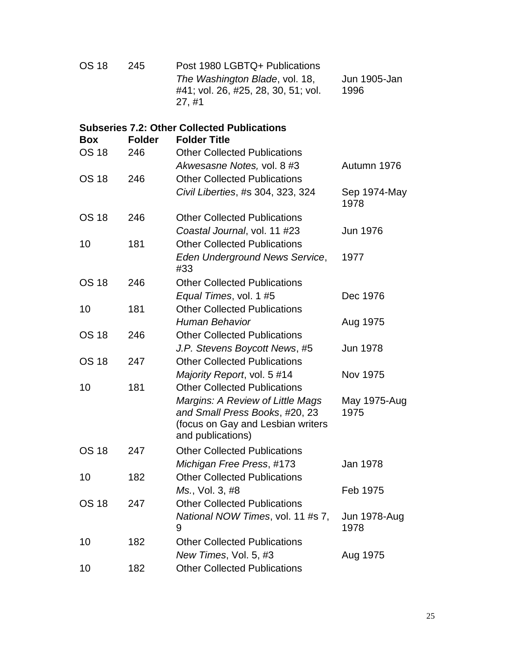| <b>OS 18</b> | 245           | Post 1980 LGBTQ+ Publications<br>The Washington Blade, vol. 18,<br>#41; vol. 26, #25, 28, 30, 51; vol.<br>27, #1             | Jun 1905-Jan<br>1996 |
|--------------|---------------|------------------------------------------------------------------------------------------------------------------------------|----------------------|
| <b>Box</b>   | <b>Folder</b> | <b>Subseries 7.2: Other Collected Publications</b><br><b>Folder Title</b>                                                    |                      |
| <b>OS 18</b> | 246           | <b>Other Collected Publications</b>                                                                                          |                      |
|              |               | Akwesasne Notes, vol. 8 #3                                                                                                   | Autumn 1976          |
| <b>OS 18</b> | 246           | <b>Other Collected Publications</b>                                                                                          |                      |
|              |               | Civil Liberties, #s 304, 323, 324                                                                                            | Sep 1974-May<br>1978 |
| <b>OS 18</b> | 246           | <b>Other Collected Publications</b>                                                                                          |                      |
|              |               | Coastal Journal, vol. 11 #23                                                                                                 | <b>Jun 1976</b>      |
| 10           | 181           | <b>Other Collected Publications</b>                                                                                          |                      |
|              |               | Eden Underground News Service,<br>#33                                                                                        | 1977                 |
| <b>OS 18</b> | 246           | <b>Other Collected Publications</b>                                                                                          |                      |
|              |               | Equal Times, vol. 1 #5                                                                                                       | Dec 1976             |
| 10           | 181           | <b>Other Collected Publications</b>                                                                                          |                      |
|              |               | <b>Human Behavior</b>                                                                                                        | Aug 1975             |
| <b>OS 18</b> | 246           | <b>Other Collected Publications</b>                                                                                          |                      |
|              |               | J.P. Stevens Boycott News, #5                                                                                                | Jun 1978             |
| <b>OS 18</b> | 247           | <b>Other Collected Publications</b>                                                                                          |                      |
|              |               | Majority Report, vol. 5 #14                                                                                                  | Nov 1975             |
| 10           | 181           | <b>Other Collected Publications</b>                                                                                          |                      |
|              |               | Margins: A Review of Little Mags<br>and Small Press Books, #20, 23<br>(focus on Gay and Lesbian writers<br>and publications) | May 1975-Aug<br>1975 |
| <b>OS 18</b> | 247           | <b>Other Collected Publications</b>                                                                                          |                      |
|              |               | Michigan Free Press, #173                                                                                                    | Jan 1978             |
| 10           | 182           | <b>Other Collected Publications</b>                                                                                          |                      |
|              |               | Ms., Vol. 3, #8                                                                                                              | Feb 1975             |
| <b>OS 18</b> | 247           | <b>Other Collected Publications</b>                                                                                          |                      |
|              |               | National NOW Times, vol. 11 #s 7,<br>9                                                                                       | Jun 1978-Aug<br>1978 |
| 10           | 182           | <b>Other Collected Publications</b>                                                                                          |                      |
|              |               | New Times, Vol. 5, #3                                                                                                        | Aug 1975             |
| 10           | 182           | <b>Other Collected Publications</b>                                                                                          |                      |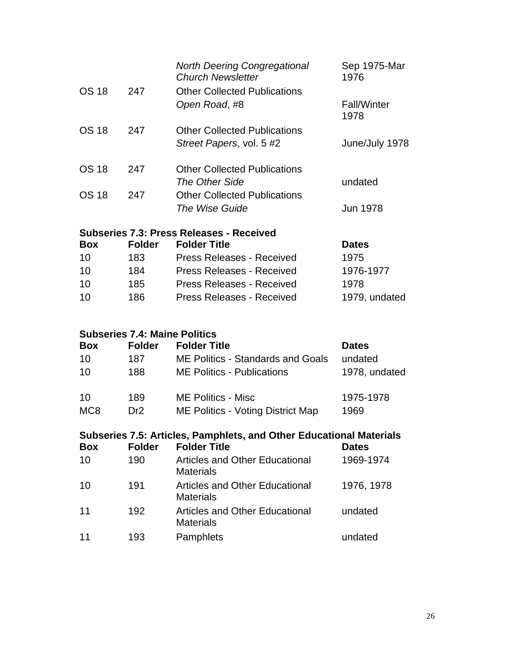|                                          |     | <b>North Deering Congregational</b><br><b>Church Newsletter</b> | Sep 1975-Mar<br>1976       |  |
|------------------------------------------|-----|-----------------------------------------------------------------|----------------------------|--|
| <b>OS 18</b>                             | 247 | <b>Other Collected Publications</b><br>Open Road, #8            | <b>Fall/Winter</b><br>1978 |  |
| <b>OS 18</b>                             | 247 | <b>Other Collected Publications</b>                             |                            |  |
|                                          |     | Street Papers, vol. 5 #2                                        | June/July 1978             |  |
| <b>OS 18</b>                             | 247 | <b>Other Collected Publications</b>                             |                            |  |
|                                          |     | The Other Side                                                  | undated                    |  |
| <b>OS 18</b>                             | 247 | <b>Other Collected Publications</b>                             |                            |  |
|                                          |     | The Wise Guide                                                  | <b>Jun 1978</b>            |  |
| Subseries 7.3: Press Releases - Received |     |                                                                 |                            |  |

| <b>Box</b> | <b>Folder</b> | <b>Folder Title</b>              | <b>Dates</b>  |  |  |
|------------|---------------|----------------------------------|---------------|--|--|
| 10         | 183           | <b>Press Releases - Received</b> | 1975          |  |  |
| 10         | 184           | <b>Press Releases - Received</b> | 1976-1977     |  |  |
| 10         | 185           | <b>Press Releases - Received</b> | 1978          |  |  |
| 10         | 186           | <b>Press Releases - Received</b> | 1979, undated |  |  |
|            |               |                                  |               |  |  |

## **Subseries 7.4: Maine Politics**

| <b>Box</b>      | <b>Folder</b> | <b>Folder Title</b>                      | <b>Dates</b>  |
|-----------------|---------------|------------------------------------------|---------------|
| 10              | 187           | <b>ME Politics - Standards and Goals</b> | undated       |
| 10              | 188           | <b>ME Politics - Publications</b>        | 1978, undated |
| 10              | 189           | <b>ME Politics - Misc</b>                | 1975-1978     |
| MC <sub>8</sub> | Dr2           | ME Politics - Voting District Map        | 1969          |

|            | Subseries 7.5: Articles, Pamphlets, and Other Educational Materials |                                                           |              |  |  |
|------------|---------------------------------------------------------------------|-----------------------------------------------------------|--------------|--|--|
| <b>Box</b> | <b>Folder</b>                                                       | <b>Folder Title</b>                                       | <b>Dates</b> |  |  |
| 10         | 190                                                                 | <b>Articles and Other Educational</b><br><b>Materials</b> | 1969-1974    |  |  |
| 10         | 191                                                                 | Articles and Other Educational<br><b>Materials</b>        | 1976, 1978   |  |  |
| 11         | 192                                                                 | <b>Articles and Other Educational</b><br><b>Materials</b> | undated      |  |  |
| 11         | 193                                                                 | Pamphlets                                                 | undated      |  |  |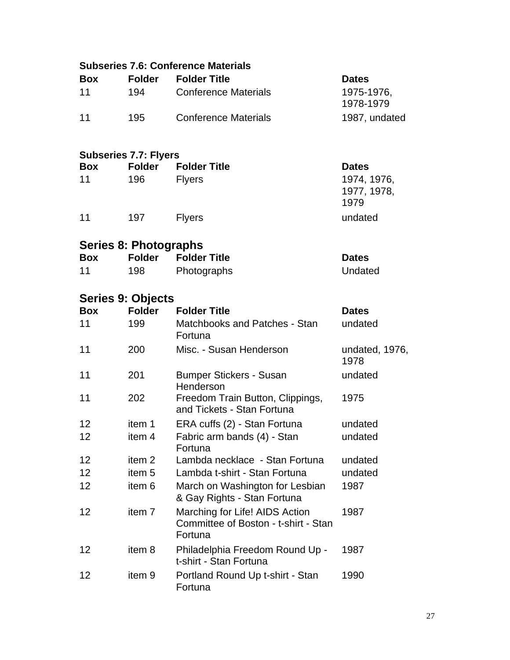|            |                              | <b>Subseries 7.6: Conference Materials</b>                                        |                                    |
|------------|------------------------------|-----------------------------------------------------------------------------------|------------------------------------|
| <b>Box</b> | <b>Folder</b>                | <b>Folder Title</b>                                                               | <b>Dates</b>                       |
| 11         | 194                          | <b>Conference Materials</b>                                                       | 1975-1976,<br>1978-1979            |
| 11         | 195                          | <b>Conference Materials</b>                                                       | 1987, undated                      |
|            | <b>Subseries 7.7: Flyers</b> |                                                                                   |                                    |
| <b>Box</b> | <b>Folder</b>                | <b>Folder Title</b>                                                               | <b>Dates</b>                       |
| 11         | 196                          | <b>Flyers</b>                                                                     | 1974, 1976,<br>1977, 1978,<br>1979 |
| 11         | 197                          | <b>Flyers</b>                                                                     | undated                            |
|            | <b>Series 8: Photographs</b> |                                                                                   |                                    |
| <b>Box</b> | <b>Folder</b>                | <b>Folder Title</b>                                                               | <b>Dates</b>                       |
| 11         | 198                          | Photographs                                                                       | Undated                            |
|            | Series 9: Objects            |                                                                                   |                                    |
| <b>Box</b> | <b>Folder</b>                | <b>Folder Title</b>                                                               | <b>Dates</b>                       |
| 11         | 199                          | Matchbooks and Patches - Stan<br>Fortuna                                          | undated                            |
| 11         | 200                          | Misc. - Susan Henderson                                                           | undated, 1976,<br>1978             |
| 11         | 201                          | <b>Bumper Stickers - Susan</b><br>Henderson                                       | undated                            |
| 11         | 202                          | Freedom Train Button, Clippings,<br>and Tickets - Stan Fortuna                    | 1975                               |
| 12         | item 1                       | ERA cuffs (2) - Stan Fortuna                                                      | undated                            |
| 12         | item 4                       | Fabric arm bands (4) - Stan<br>Fortuna                                            | undated                            |
| 12         | item <sub>2</sub>            | Lambda necklace - Stan Fortuna                                                    | undated                            |
| 12         | item <sub>5</sub>            | Lambda t-shirt - Stan Fortuna                                                     | undated                            |
| 12         | item <sub>6</sub>            | March on Washington for Lesbian<br>& Gay Rights - Stan Fortuna                    | 1987                               |
| 12         | item 7                       | Marching for Life! AIDS Action<br>Committee of Boston - t-shirt - Stan<br>Fortuna | 1987                               |
| 12         | item 8                       | Philadelphia Freedom Round Up -<br>t-shirt - Stan Fortuna                         | 1987                               |
| 12         | item 9                       | Portland Round Up t-shirt - Stan<br>Fortuna                                       | 1990                               |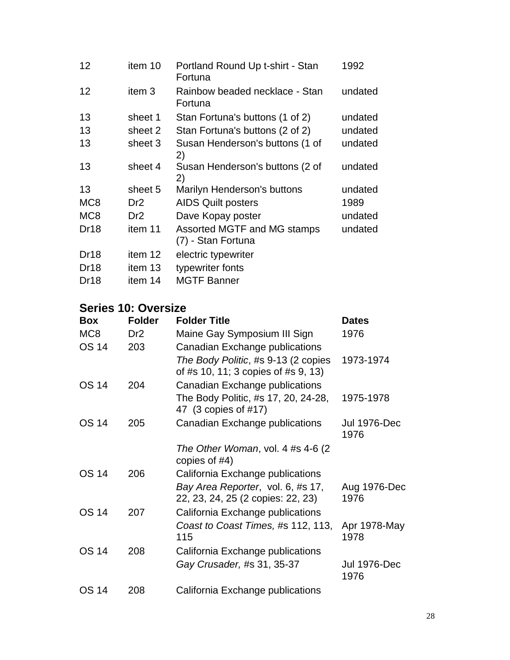| 12               | item 10           | Portland Round Up t-shirt - Stan<br>Fortuna       | 1992    |
|------------------|-------------------|---------------------------------------------------|---------|
| 12               | item <sub>3</sub> | Rainbow beaded necklace - Stan<br>Fortuna         | undated |
| 13               | sheet 1           | Stan Fortuna's buttons (1 of 2)                   | undated |
| 13               | sheet 2           | Stan Fortuna's buttons (2 of 2)                   | undated |
| 13               | sheet 3           | Susan Henderson's buttons (1 of<br>2)             | undated |
| 13               | sheet 4           | Susan Henderson's buttons (2 of<br>2)             | undated |
| 13               | sheet 5           | Marilyn Henderson's buttons                       | undated |
| MC <sub>8</sub>  | Dr <sub>2</sub>   | <b>AIDS Quilt posters</b>                         | 1989    |
| MC <sub>8</sub>  | Dr <sub>2</sub>   | Dave Kopay poster                                 | undated |
| Dr <sub>18</sub> | item 11           | Assorted MGTF and MG stamps<br>(7) - Stan Fortuna | undated |
| Dr <sub>18</sub> | item 12           | electric typewriter                               |         |
| Dr <sub>18</sub> | item 13           | typewriter fonts                                  |         |
| Dr18             | item 14           | <b>MGTF Banner</b>                                |         |

## **Series 10: Oversize**

| <b>Box</b>      | <b>Folder</b>   | <b>Folder Title</b>                                                        | <b>Dates</b>         |
|-----------------|-----------------|----------------------------------------------------------------------------|----------------------|
| MC <sub>8</sub> | Dr <sub>2</sub> | Maine Gay Symposium III Sign                                               | 1976                 |
| <b>OS 14</b>    | 203             | Canadian Exchange publications                                             |                      |
|                 |                 | The Body Politic, #s 9-13 (2 copies<br>of #s 10, 11; 3 copies of #s 9, 13) | 1973-1974            |
| OS 14           | 204             | Canadian Exchange publications                                             |                      |
|                 |                 | The Body Politic, #s 17, 20, 24-28,<br>47 (3 copies of #17)                | 1975-1978            |
| <b>OS 14</b>    | 205             | Canadian Exchange publications                                             | Jul 1976-Dec<br>1976 |
|                 |                 | The Other Woman, vol. 4 #s 4-6 (2)<br>copies of $#4$ )                     |                      |
| OS 14           | 206             | California Exchange publications                                           |                      |
|                 |                 | Bay Area Reporter, vol. 6, #s 17,<br>22, 23, 24, 25 (2 copies: 22, 23)     | Aug 1976-Dec<br>1976 |
| <b>OS 14</b>    | 207             | California Exchange publications                                           |                      |
|                 |                 | Coast to Coast Times, #s 112, 113,<br>115                                  | Apr 1978-May<br>1978 |
| OS 14           | 208             | California Exchange publications                                           |                      |
|                 |                 | Gay Crusader, #s 31, 35-37                                                 | Jul 1976-Dec<br>1976 |
| <b>OS 14</b>    | 208             | California Exchange publications                                           |                      |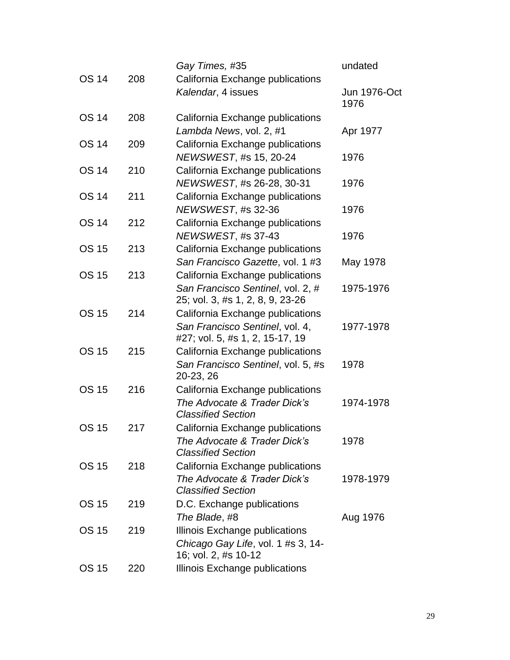|              |     | Gay Times, #35                                                        | undated                     |
|--------------|-----|-----------------------------------------------------------------------|-----------------------------|
| <b>OS 14</b> | 208 | California Exchange publications                                      |                             |
|              |     | Kalendar, 4 issues                                                    | <b>Jun 1976-Oct</b><br>1976 |
| <b>OS 14</b> | 208 | California Exchange publications                                      |                             |
|              |     | Lambda News, vol. 2, #1                                               | Apr 1977                    |
| <b>OS 14</b> | 209 | California Exchange publications                                      |                             |
|              |     | NEWSWEST, #s 15, 20-24                                                | 1976                        |
| <b>OS 14</b> | 210 | California Exchange publications                                      |                             |
|              |     | NEWSWEST, #s 26-28, 30-31                                             | 1976                        |
| <b>OS 14</b> | 211 | California Exchange publications                                      |                             |
|              |     | NEWSWEST, #s 32-36                                                    | 1976                        |
| <b>OS 14</b> | 212 | California Exchange publications                                      |                             |
|              |     | NEWSWEST, #s 37-43                                                    | 1976                        |
| <b>OS 15</b> | 213 | California Exchange publications                                      |                             |
|              |     | San Francisco Gazette, vol. 1 #3                                      | May 1978                    |
| <b>OS 15</b> | 213 | California Exchange publications                                      |                             |
|              |     | San Francisco Sentinel, vol. 2, #<br>25; vol. 3, #s 1, 2, 8, 9, 23-26 | 1975-1976                   |
| <b>OS 15</b> | 214 | California Exchange publications                                      |                             |
|              |     | San Francisco Sentinel, vol. 4,                                       | 1977-1978                   |
|              |     | #27; vol. 5, #s 1, 2, 15-17, 19                                       |                             |
| <b>OS 15</b> | 215 | California Exchange publications                                      |                             |
|              |     | San Francisco Sentinel, vol. 5, #s<br>20-23, 26                       | 1978                        |
| <b>OS 15</b> | 216 | California Exchange publications                                      |                             |
|              |     | The Advocate & Trader Dick's<br><b>Classified Section</b>             | 1974-1978                   |
| <b>OS 15</b> | 217 | California Exchange publications                                      |                             |
|              |     | The Advocate & Trader Dick's<br><b>Classified Section</b>             | 1978                        |
| <b>OS 15</b> | 218 | California Exchange publications                                      |                             |
|              |     | The Advocate & Trader Dick's                                          | 1978-1979                   |
|              |     | <b>Classified Section</b>                                             |                             |
| <b>OS 15</b> | 219 | D.C. Exchange publications                                            |                             |
|              |     | The Blade, #8                                                         | Aug 1976                    |
| <b>OS 15</b> | 219 | Illinois Exchange publications                                        |                             |
|              |     | Chicago Gay Life, vol. 1 #s 3, 14-<br>16; vol. 2, #s 10-12            |                             |
| <b>OS 15</b> | 220 | Illinois Exchange publications                                        |                             |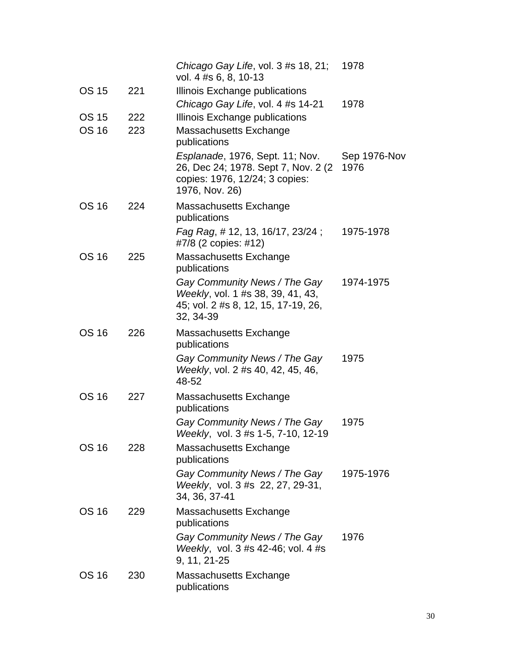|              |     | Chicago Gay Life, vol. 3 #s 18, 21;<br>vol. 4 #s 6, 8, 10-13                                                                | 1978                 |
|--------------|-----|-----------------------------------------------------------------------------------------------------------------------------|----------------------|
| <b>OS 15</b> | 221 | Illinois Exchange publications                                                                                              |                      |
|              |     | Chicago Gay Life, vol. 4 #s 14-21                                                                                           | 1978                 |
| <b>OS 15</b> | 222 | Illinois Exchange publications                                                                                              |                      |
| <b>OS 16</b> | 223 | Massachusetts Exchange<br>publications                                                                                      |                      |
|              |     | Esplanade, 1976, Sept. 11; Nov.<br>26, Dec 24; 1978. Sept 7, Nov. 2 (2)<br>copies: 1976, 12/24; 3 copies:<br>1976, Nov. 26) | Sep 1976-Nov<br>1976 |
| <b>OS 16</b> | 224 | Massachusetts Exchange<br>publications                                                                                      |                      |
|              |     | Fag Rag, # 12, 13, 16/17, 23/24;<br>#7/8 (2 copies: #12)                                                                    | 1975-1978            |
| <b>OS 16</b> | 225 | Massachusetts Exchange<br>publications                                                                                      |                      |
|              |     | Gay Community News / The Gay<br>Weekly, vol. 1 #s 38, 39, 41, 43,<br>45; vol. 2 #s 8, 12, 15, 17-19, 26,<br>32, 34-39       | 1974-1975            |
| <b>OS 16</b> | 226 | Massachusetts Exchange<br>publications                                                                                      |                      |
|              |     | Gay Community News / The Gay<br>Weekly, vol. 2 #s 40, 42, 45, 46,<br>48-52                                                  | 1975                 |
| <b>OS 16</b> | 227 | Massachusetts Exchange<br>publications                                                                                      |                      |
|              |     | Gay Community News / The Gay<br>Weekly, vol. 3 #s 1-5, 7-10, 12-19                                                          | 1975                 |
| <b>OS 16</b> | 228 | Massachusetts Exchange<br>publications                                                                                      |                      |
|              |     | Gay Community News / The Gay<br>Weekly, vol. 3 #s 22, 27, 29-31,<br>34, 36, 37-41                                           | 1975-1976            |
| <b>OS 16</b> | 229 | Massachusetts Exchange<br>publications                                                                                      |                      |
|              |     | Gay Community News / The Gay<br>Weekly, vol. 3 #s 42-46; vol. 4 #s<br>9, 11, 21-25                                          | 1976                 |
| <b>OS 16</b> | 230 | Massachusetts Exchange<br>publications                                                                                      |                      |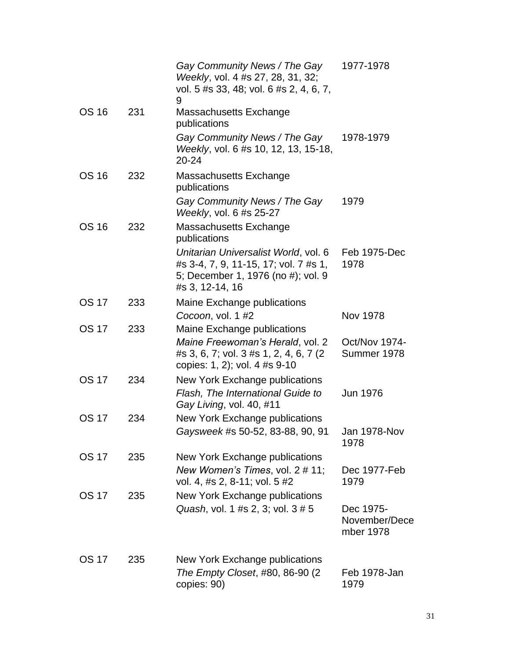|              |     | Gay Community News / The Gay<br>Weekly, vol. 4 #s 27, 28, 31, 32;<br>vol. 5 #s 33, 48; vol. 6 #s 2, 4, 6, 7,<br>9                           | 1977-1978                               |
|--------------|-----|---------------------------------------------------------------------------------------------------------------------------------------------|-----------------------------------------|
| <b>OS 16</b> | 231 | Massachusetts Exchange<br>publications                                                                                                      |                                         |
|              |     | Gay Community News / The Gay<br>Weekly, vol. 6 #s 10, 12, 13, 15-18,<br>$20 - 24$                                                           | 1978-1979                               |
| <b>OS 16</b> | 232 | <b>Massachusetts Exchange</b><br>publications                                                                                               |                                         |
|              |     | Gay Community News / The Gay<br>Weekly, vol. 6 #s 25-27                                                                                     | 1979                                    |
| <b>OS 16</b> | 232 | Massachusetts Exchange<br>publications                                                                                                      |                                         |
|              |     | Unitarian Universalist World, vol. 6<br>#s 3-4, 7, 9, 11-15, 17; vol. 7 #s 1,<br>5; December 1, 1976 (no #); vol. 9<br>#s 3, 12-14, 16      | Feb 1975-Dec<br>1978                    |
| <b>OS 17</b> | 233 | Maine Exchange publications<br>Cocoon, vol. 1 #2                                                                                            | Nov 1978                                |
| <b>OS 17</b> | 233 | Maine Exchange publications<br>Maine Freewoman's Herald, vol. 2<br>#s 3, 6, 7; vol. 3 #s 1, 2, 4, 6, 7 (2)<br>copies: 1, 2); vol. 4 #s 9-10 | <b>Oct/Nov 1974-</b><br>Summer 1978     |
| <b>OS 17</b> | 234 | New York Exchange publications<br>Flash, The International Guide to<br>Gay Living, vol. 40, #11                                             | <b>Jun 1976</b>                         |
| <b>OS 17</b> | 234 | New York Exchange publications<br>Gaysweek #s 50-52, 83-88, 90, 91                                                                          | <b>Jan 1978-Nov</b><br>1978             |
| <b>OS 17</b> | 235 | New York Exchange publications<br>New Women's Times, vol. 2 # 11;<br>vol. 4, #s 2, 8-11; vol. 5 #2                                          | Dec 1977-Feb<br>1979                    |
| <b>OS 17</b> | 235 | New York Exchange publications<br>Quash, vol. 1 #s 2, 3; vol. 3 # 5                                                                         | Dec 1975-<br>November/Dece<br>mber 1978 |
| <b>OS 17</b> | 235 | New York Exchange publications<br>The Empty Closet, #80, 86-90 (2)<br>copies: 90)                                                           | Feb 1978-Jan<br>1979                    |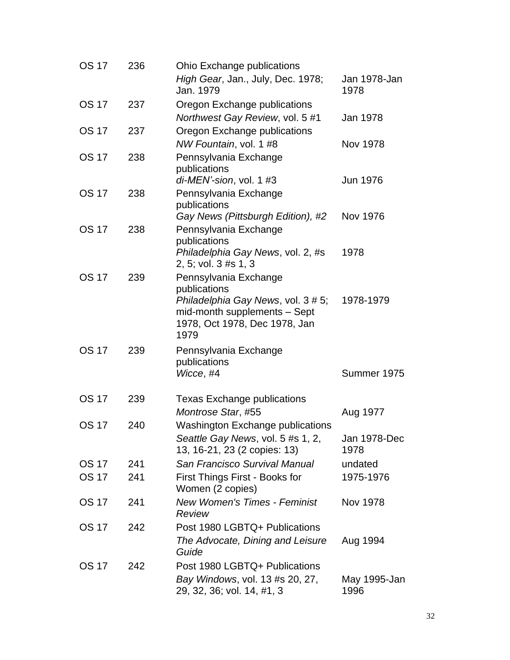| <b>OS 17</b> | 236 | Ohio Exchange publications<br>High Gear, Jan., July, Dec. 1978;<br>Jan. 1979                                                                         | Jan 1978-Jan<br>1978 |
|--------------|-----|------------------------------------------------------------------------------------------------------------------------------------------------------|----------------------|
| <b>OS 17</b> | 237 | Oregon Exchange publications<br>Northwest Gay Review, vol. 5 #1                                                                                      | Jan 1978             |
| <b>OS 17</b> | 237 | Oregon Exchange publications<br>NW Fountain, vol. 1 #8                                                                                               | Nov 1978             |
| <b>OS 17</b> | 238 | Pennsylvania Exchange<br>publications                                                                                                                |                      |
| <b>OS 17</b> | 238 | di-MEN'-sion, vol. 1 #3<br>Pennsylvania Exchange<br>publications                                                                                     | Jun 1976             |
| <b>OS 17</b> | 238 | Gay News (Pittsburgh Edition), #2<br>Pennsylvania Exchange                                                                                           | Nov 1976             |
|              |     | publications<br>Philadelphia Gay News, vol. 2, #s<br>2, 5; vol. 3 #s 1, 3                                                                            | 1978                 |
| <b>OS 17</b> | 239 | Pennsylvania Exchange<br>publications<br>Philadelphia Gay News, vol. 3 # 5;<br>mid-month supplements - Sept<br>1978, Oct 1978, Dec 1978, Jan<br>1979 | 1978-1979            |
| <b>OS 17</b> | 239 | Pennsylvania Exchange<br>publications<br>Wicce, #4                                                                                                   | Summer 1975          |
| <b>OS 17</b> | 239 | <b>Texas Exchange publications</b><br>Montrose Star, #55                                                                                             | Aug 1977             |
| <b>OS 17</b> | 240 | <b>Washington Exchange publications</b><br>Seattle Gay News, vol. 5 #s 1, 2,<br>13, 16-21, 23 (2 copies: 13)                                         | Jan 1978-Dec<br>1978 |
| <b>OS 17</b> | 241 | San Francisco Survival Manual                                                                                                                        | undated              |
| <b>OS 17</b> | 241 | First Things First - Books for<br>Women (2 copies)                                                                                                   | 1975-1976            |
| <b>OS 17</b> | 241 | <b>New Women's Times - Feminist</b><br>Review                                                                                                        | Nov 1978             |
| <b>OS 17</b> | 242 | Post 1980 LGBTQ+ Publications<br>The Advocate, Dining and Leisure<br>Guide                                                                           | Aug 1994             |
| <b>OS 17</b> | 242 | Post 1980 LGBTQ+ Publications<br>Bay Windows, vol. 13 #s 20, 27,<br>29, 32, 36; vol. 14, #1, 3                                                       | May 1995-Jan<br>1996 |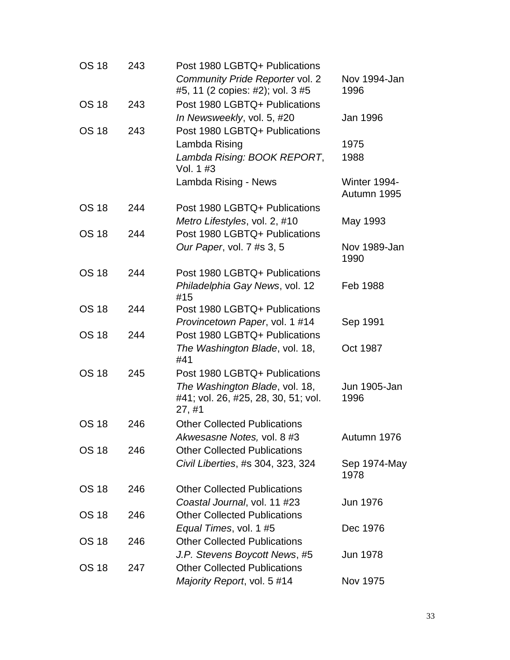| <b>OS 18</b> | 243 | Post 1980 LGBTQ+ Publications         |                      |
|--------------|-----|---------------------------------------|----------------------|
|              |     | Community Pride Reporter vol. 2       | Nov 1994-Jan         |
|              |     | #5, 11 (2 copies: #2); vol. 3 #5      | 1996                 |
| <b>OS 18</b> | 243 | Post 1980 LGBTQ+ Publications         |                      |
|              |     | In Newsweekly, vol. 5, #20            | Jan 1996             |
| <b>OS 18</b> | 243 | Post 1980 LGBTQ+ Publications         |                      |
|              |     | Lambda Rising                         | 1975                 |
|              |     | Lambda Rising: BOOK REPORT,           | 1988                 |
|              |     | Vol. 1 #3                             |                      |
|              |     | Lambda Rising - News                  | Winter 1994-         |
|              |     |                                       | Autumn 1995          |
| <b>OS 18</b> | 244 | Post 1980 LGBTQ+ Publications         |                      |
|              |     | Metro Lifestyles, vol. 2, #10         | May 1993             |
| <b>OS 18</b> | 244 | Post 1980 LGBTQ+ Publications         |                      |
|              |     | Our Paper, vol. 7 #s 3, 5             | Nov 1989-Jan<br>1990 |
| <b>OS 18</b> | 244 | Post 1980 LGBTQ+ Publications         |                      |
|              |     | Philadelphia Gay News, vol. 12        | Feb 1988             |
|              |     | #15                                   |                      |
| <b>OS 18</b> | 244 | Post 1980 LGBTQ+ Publications         |                      |
|              |     | Provincetown Paper, vol. 1 #14        | Sep 1991             |
| <b>OS 18</b> | 244 | Post 1980 LGBTQ+ Publications         |                      |
|              |     | The Washington Blade, vol. 18,<br>#41 | Oct 1987             |
| <b>OS 18</b> | 245 | Post 1980 LGBTQ+ Publications         |                      |
|              |     | The Washington Blade, vol. 18,        | Jun 1905-Jan         |
|              |     | #41; vol. 26, #25, 28, 30, 51; vol.   | 1996                 |
|              |     | 27, #1                                |                      |
| <b>OS 18</b> | 246 | <b>Other Collected Publications</b>   |                      |
|              |     | Akwesasne Notes, vol. 8 #3            | Autumn 1976          |
| <b>OS 18</b> | 246 | <b>Other Collected Publications</b>   |                      |
|              |     | Civil Liberties, #s 304, 323, 324     | Sep 1974-May<br>1978 |
| <b>OS 18</b> | 246 | <b>Other Collected Publications</b>   |                      |
|              |     | Coastal Journal, vol. 11 #23          | Jun 1976             |
| <b>OS 18</b> | 246 | <b>Other Collected Publications</b>   |                      |
|              |     | Equal Times, vol. 1 #5                | Dec 1976             |
| <b>OS 18</b> | 246 | <b>Other Collected Publications</b>   |                      |
|              |     | J.P. Stevens Boycott News, #5         | Jun 1978             |
| <b>OS 18</b> | 247 | <b>Other Collected Publications</b>   |                      |
|              |     | Majority Report, vol. 5 #14           | Nov 1975             |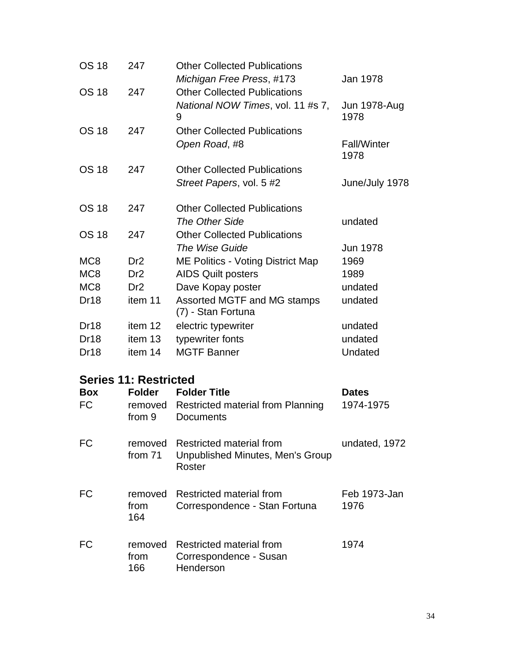| <b>OS 18</b>     | 247                          | <b>Other Collected Publications</b>                          |                             |
|------------------|------------------------------|--------------------------------------------------------------|-----------------------------|
|                  |                              | Michigan Free Press, #173                                    | Jan 1978                    |
| <b>OS 18</b>     | 247                          | <b>Other Collected Publications</b>                          |                             |
|                  |                              | National NOW Times, vol. 11 #s 7,<br>9                       | <b>Jun 1978-Aug</b><br>1978 |
| <b>OS 18</b>     | 247                          | <b>Other Collected Publications</b>                          |                             |
|                  |                              | Open Road, #8                                                | <b>Fall/Winter</b><br>1978  |
| <b>OS 18</b>     | 247                          | <b>Other Collected Publications</b>                          |                             |
|                  |                              | Street Papers, vol. 5 #2                                     | June/July 1978              |
| <b>OS 18</b>     | 247                          | <b>Other Collected Publications</b>                          |                             |
|                  |                              | The Other Side                                               | undated                     |
| <b>OS 18</b>     | 247                          | <b>Other Collected Publications</b>                          |                             |
|                  |                              | The Wise Guide                                               | <b>Jun 1978</b>             |
| MC <sub>8</sub>  | Dr <sub>2</sub>              | <b>ME Politics - Voting District Map</b>                     | 1969                        |
| MC <sub>8</sub>  | Dr <sub>2</sub>              | <b>AIDS Quilt posters</b>                                    | 1989                        |
| MC <sub>8</sub>  | Dr <sub>2</sub>              | Dave Kopay poster                                            | undated                     |
| Dr18             | item 11                      | Assorted MGTF and MG stamps<br>(7) - Stan Fortuna            | undated                     |
| Dr <sub>18</sub> | item 12                      | electric typewriter                                          | undated                     |
| Dr18             | item 13                      | typewriter fonts                                             | undated                     |
| Dr18             | item 14                      | <b>MGTF Banner</b>                                           | Undated                     |
|                  | <b>Series 11: Restricted</b> |                                                              |                             |
| <b>Box</b>       | <b>Folder</b>                | <b>Folder Title</b>                                          | <b>Dates</b>                |
| <b>FC</b>        | removed                      | <b>Restricted material from Planning</b>                     | 1974-1975                   |
|                  | from 9                       | <b>Documents</b>                                             |                             |
| <b>FC</b>        | removed<br>from 71           | Restricted material from<br>Unpublished Minutes, Men's Group | undated, 1972               |

| FC. | from        | removed Restricted material from                                        | Feb 1973-Jan |
|-----|-------------|-------------------------------------------------------------------------|--------------|
|     | 164         | Correspondence - Stan Fortuna                                           | 1976         |
| FC. | from<br>166 | removed Restricted material from<br>Correspondence - Susan<br>Henderson | 1974         |

Roster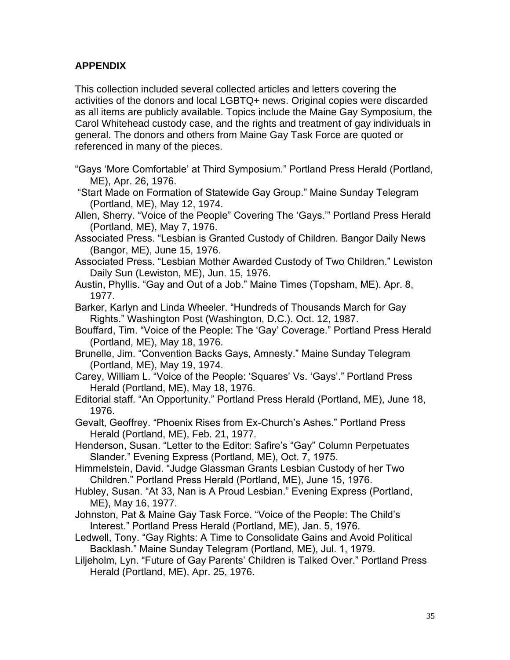## **APPENDIX**

This collection included several collected articles and letters covering the activities of the donors and local LGBTQ+ news. Original copies were discarded as all items are publicly available. Topics include the Maine Gay Symposium, the Carol Whitehead custody case, and the rights and treatment of gay individuals in general. The donors and others from Maine Gay Task Force are quoted or referenced in many of the pieces.

"Gays 'More Comfortable' at Third Symposium." Portland Press Herald (Portland, ME), Apr. 26, 1976.

"Start Made on Formation of Statewide Gay Group." Maine Sunday Telegram (Portland, ME), May 12, 1974.

- Allen, Sherry. "Voice of the People" Covering The 'Gays.'" Portland Press Herald (Portland, ME), May 7, 1976.
- Associated Press. "Lesbian is Granted Custody of Children. Bangor Daily News (Bangor, ME), June 15, 1976.
- Associated Press. "Lesbian Mother Awarded Custody of Two Children." Lewiston Daily Sun (Lewiston, ME), Jun. 15, 1976.
- Austin, Phyllis. "Gay and Out of a Job." Maine Times (Topsham, ME). Apr. 8, 1977.
- Barker, Karlyn and Linda Wheeler. "Hundreds of Thousands March for Gay Rights." Washington Post (Washington, D.C.). Oct. 12, 1987.
- Bouffard, Tim. "Voice of the People: The 'Gay' Coverage." Portland Press Herald (Portland, ME), May 18, 1976.
- Brunelle, Jim. "Convention Backs Gays, Amnesty." Maine Sunday Telegram (Portland, ME), May 19, 1974.
- Carey, William L. "Voice of the People: 'Squares' Vs. 'Gays'." Portland Press Herald (Portland, ME), May 18, 1976.
- Editorial staff. "An Opportunity." Portland Press Herald (Portland, ME), June 18, 1976.
- Gevalt, Geoffrey. "Phoenix Rises from Ex-Church's Ashes." Portland Press Herald (Portland, ME), Feb. 21, 1977.
- Henderson, Susan. "Letter to the Editor: Safire's "Gay" Column Perpetuates Slander." Evening Express (Portland, ME), Oct. 7, 1975.
- Himmelstein, David. "Judge Glassman Grants Lesbian Custody of her Two Children." Portland Press Herald (Portland, ME), June 15, 1976.
- Hubley, Susan. "At 33, Nan is A Proud Lesbian." Evening Express (Portland, ME), May 16, 1977.
- Johnston, Pat & Maine Gay Task Force. "Voice of the People: The Child's Interest." Portland Press Herald (Portland, ME), Jan. 5, 1976.
- Ledwell, Tony. "Gay Rights: A Time to Consolidate Gains and Avoid Political Backlash." Maine Sunday Telegram (Portland, ME), Jul. 1, 1979.
- Liljeholm, Lyn. "Future of Gay Parents' Children is Talked Over." Portland Press Herald (Portland, ME), Apr. 25, 1976.